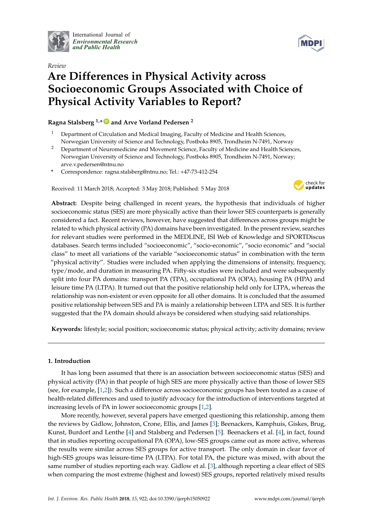

International Journal of *[Environmental Research](http://www.mdpi.com/journal/ijerph) and Public Health*





# **Are Differences in Physical Activity across Socioeconomic Groups Associated with Choice of Physical Activity Variables to Report?**

# **Ragna Stalsberg 1,\* [ID](https://orcid.org/0000-0002-9611-1615) and Arve Vorland Pedersen <sup>2</sup>**

- <sup>1</sup> Department of Circulation and Medical Imaging, Faculty of Medicine and Health Sciences, Norwegian University of Science and Technology, Postboks 8905, Trondheim N-7491, Norway
- <sup>2</sup> Department of Neuromedicine and Movement Science, Faculty of Medicine and Health Sciences, Norwegian University of Science and Technology, Postboks 8905, Trondheim N-7491, Norway; arve.v.pedersen@ntnu.no
- **\*** Correspondence: ragna.stalsberg@ntnu.no; Tel.: +47-73-412-254

Received: 11 March 2018; Accepted: 3 May 2018; Published: 5 May 2018



**Abstract:** Despite being challenged in recent years, the hypothesis that individuals of higher socioeconomic status (SES) are more physically active than their lower SES counterparts is generally considered a fact. Recent reviews, however, have suggested that differences across groups might be related to which physical activity (PA) domains have been investigated. In the present review, searches for relevant studies were performed in the MEDLINE, ISI Web of Knowledge and SPORTDiscus databases. Search terms included "socioeconomic", "socio-economic", "socio economic" and "social class" to meet all variations of the variable "socioeconomic status" in combination with the term "physical activity". Studies were included when applying the dimensions of intensity, frequency, type/mode, and duration in measuring PA. Fifty-six studies were included and were subsequently split into four PA domains: transport PA (TPA), occupational PA (OPA), housing PA (HPA) and leisure time PA (LTPA). It turned out that the positive relationship held only for LTPA, whereas the relationship was non-existent or even opposite for all other domains. It is concluded that the assumed positive relationship between SES and PA is mainly a relationship between LTPA and SES. It is further suggested that the PA domain should always be considered when studying said relationships.

**Keywords:** lifestyle; social position; socioeconomic status; physical activity; activity domains; review

# **1. Introduction**

It has long been assumed that there is an association between socioeconomic status (SES) and physical activity (PA) in that people of high SES are more physically active than those of lower SES (see, for example, [\[1,](#page-18-0)[2\]](#page-18-1)). Such a difference across socioeconomic groups has been touted as a cause of health-related differences and used to justify advocacy for the introduction of interventions targeted at increasing levels of PA in lower socioeconomic groups [\[1,](#page-18-0)[2\]](#page-18-1).

More recently, however, several papers have emerged questioning this relationship, among them the reviews by Gidlow, Johnston, Crone, Ellis, and James [\[3\]](#page-18-2); Beenackers, Kamphuis, Giskes, Brug, Kunst, Burdorf and Lenthe [\[4\]](#page-18-3) and Stalsberg and Pedersen [\[5\]](#page-18-4). Beenackers et al. [\[4\]](#page-18-3), in fact, found that in studies reporting occupational PA (OPA), low-SES groups came out as more active, whereas the results were similar across SES groups for active transport. The only domain in clear favor of high-SES groups was leisure-time PA (LTPA). For total PA, the picture was mixed, with about the same number of studies reporting each way. Gidlow et al. [\[3\]](#page-18-2), although reporting a clear effect of SES when comparing the most extreme (highest and lowest) SES groups, reported relatively mixed results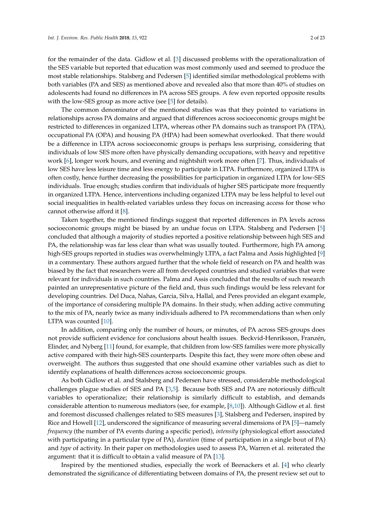for the remainder of the data. Gidlow et al. [\[3\]](#page-18-2) discussed problems with the operationalization of the SES variable but reported that education was most commonly used and seemed to produce the most stable relationships. Stalsberg and Pedersen [\[5\]](#page-18-4) identified similar methodological problems with both variables (PA and SES) as mentioned above and revealed also that more than 40% of studies on adolescents had found no differences in PA across SES groups. A few even reported opposite results with the low-SES group as more active (see [\[5\]](#page-18-4) for details).

The common denominator of the mentioned studies was that they pointed to variations in relationships across PA domains and argued that differences across socioeconomic groups might be restricted to differences in organized LTPA, whereas other PA domains such as transport PA (TPA), occupational PA (OPA) and housing PA (HPA) had been somewhat overlooked. That there would be a difference in LTPA across socioeconomic groups is perhaps less surprising, considering that individuals of low SES more often have physically demanding occupations, with heavy and repetitive work [\[6\]](#page-18-5), longer work hours, and evening and nightshift work more often [\[7\]](#page-18-6). Thus, individuals of low SES have less leisure time and less energy to participate in LTPA. Furthermore, organized LTPA is often costly, hence further decreasing the possibilities for participation in organized LTPA for low-SES individuals. True enough; studies confirm that individuals of higher SES participate more frequently in organized LTPA. Hence, interventions including organized LTPA may be less helpful to level out social inequalities in health-related variables unless they focus on increasing access for those who cannot otherwise afford it [\[8\]](#page-18-7).

Taken together, the mentioned findings suggest that reported differences in PA levels across socioeconomic groups might be biased by an undue focus on LTPA. Stalsberg and Pedersen [\[5\]](#page-18-4) concluded that although a majority of studies reported a positive relationship between high SES and PA, the relationship was far less clear than what was usually touted. Furthermore, high PA among high-SES groups reported in studies was overwhelmingly LTPA, a fact Palma and Assis highlighted [\[9\]](#page-18-8) in a commentary. These authors argued further that the whole field of research on PA and health was biased by the fact that researchers were all from developed countries and studied variables that were relevant for individuals in such countries. Palma and Assis concluded that the results of such research painted an unrepresentative picture of the field and, thus such findings would be less relevant for developing countries. Del Duca, Nahas, Garcia, Silva, Hallal, and Peres provided an elegant example, of the importance of considering multiple PA domains. In their study, when adding active commuting to the mix of PA, nearly twice as many individuals adhered to PA recommendations than when only LTPA was counted [\[10\]](#page-18-9).

In addition, comparing only the number of hours, or minutes, of PA across SES-groups does not provide sufficient evidence for conclusions about health issues. Beckvid-Henriksson, Franzén, Elinder, and Nyberg [\[11\]](#page-18-10) found, for example, that children from low-SES families were more physically active compared with their high-SES counterparts. Despite this fact, they were more often obese and overweight. The authors thus suggested that one should examine other variables such as diet to identify explanations of health differences across socioeconomic groups.

As both Gidlow et al. and Stalsberg and Pedersen have stressed, considerable methodological challenges plague studies of SES and PA [\[3,](#page-18-2)[5\]](#page-18-4). Because both SES and PA are notoriously difficult variables to operationalize; their relationship is similarly difficult to establish, and demands considerable attention to numerous mediators (see, for example, [\[8](#page-18-7)[,10\]](#page-18-9)). Although Gidlow et al. first and foremost discussed challenges related to SES measures [\[3\]](#page-18-2), Stalsberg and Pedersen, inspired by Rice and Howell [\[12\]](#page-18-11), underscored the significance of measuring several dimensions of PA [\[5\]](#page-18-4)—namely *frequency* (the number of PA events during a specific period), *intensity* (physiological effort associated with participating in a particular type of PA), *duration* (time of participation in a single bout of PA) and *type* of activity. In their paper on methodologies used to assess PA, Warren et al. reiterated the argument: that it is difficult to obtain a valid measure of PA [\[13\]](#page-18-12).

Inspired by the mentioned studies, especially the work of Beenackers et al. [\[4\]](#page-18-3) who clearly demonstrated the significance of differentiating between domains of PA, the present review set out to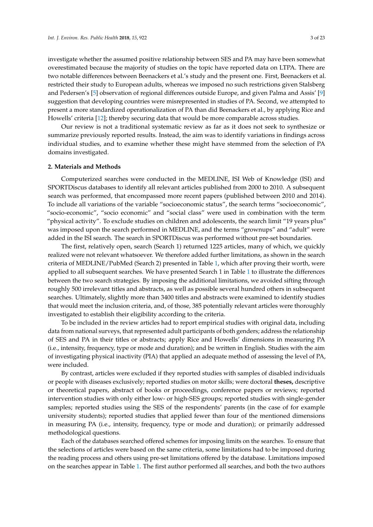investigate whether the assumed positive relationship between SES and PA may have been somewhat overestimated because the majority of studies on the topic have reported data on LTPA. There are two notable differences between Beenackers et al.'s study and the present one. First, Beenackers et al. restricted their study to European adults, whereas we imposed no such restrictions given Stalsberg and Pedersen's [\[5\]](#page-18-4) observation of regional differences outside Europe, and given Palma and Assis' [\[9\]](#page-18-8) suggestion that developing countries were misrepresented in studies of PA. Second, we attempted to present a more standardized operationalization of PA than did Beenackers et al., by applying Rice and Howells' criteria [\[12\]](#page-18-11); thereby securing data that would be more comparable across studies.

Our review is not a traditional systematic review as far as it does not seek to synthesize or summarize previously reported results. Instead, the aim was to identify variations in findings across individual studies, and to examine whether these might have stemmed from the selection of PA domains investigated.

### **2. Materials and Methods**

Computerized searches were conducted in the MEDLINE, ISI Web of Knowledge (ISI) and SPORTDiscus databases to identify all relevant articles published from 2000 to 2010. A subsequent search was performed, that encompassed more recent papers (published between 2010 and 2014). To include all variations of the variable "socioeconomic status", the search terms "socioeconomic", "socio-economic", "socio economic" and "social class" were used in combination with the term "physical activity". To exclude studies on children and adolescents, the search limit "19 years plus" was imposed upon the search performed in MEDLINE, and the terms "grownups" and "adult" were added in the ISI search. The search in SPORTDiscus was performed without pre-set boundaries.

The first, relatively open, search (Search 1) returned 1225 articles, many of which, we quickly realized were not relevant whatsoever. We therefore added further limitations, as shown in the search criteria of MEDLINE/PubMed (Search 2) presented in Table [1,](#page-3-0) which after proving their worth, were applied to all subsequent searches. We have presented Search 1 in Table [1](#page-3-0) to illustrate the differences between the two search strategies. By imposing the additional limitations, we avoided sifting through roughly 500 irrelevant titles and abstracts, as well as possible several hundred others in subsequent searches. Ultimately, slightly more than 3400 titles and abstracts were examined to identify studies that would meet the inclusion criteria, and, of those, 385 potentially relevant articles were thoroughly investigated to establish their eligibility according to the criteria.

To be included in the review articles had to report empirical studies with original data, including data from national surveys, that represented adult participants of both genders; address the relationship of SES and PA in their titles or abstracts; apply Rice and Howells' dimensions in measuring PA (i.e., intensity, frequency, type or mode and duration); and be written in English. Studies with the aim of investigating physical inactivity (PIA) that applied an adequate method of assessing the level of PA, were included.

By contrast, articles were excluded if they reported studies with samples of disabled individuals or people with diseases exclusively; reported studies on motor skills; were doctoral **theses,** descriptive or theoretical papers, abstract of books or proceedings, conference papers or reviews; reported intervention studies with only either low- or high-SES groups; reported studies with single-gender samples; reported studies using the SES of the respondents' parents (in the case of for example university students); reported studies that applied fewer than four of the mentioned dimensions in measuring PA (i.e., intensity, frequency, type or mode and duration); or primarily addressed methodological questions.

Each of the databases searched offered schemes for imposing limits on the searches. To ensure that the selections of articles were based on the same criteria, some limitations had to be imposed during the reading process and others using pre-set limitations offered by the database. Limitations imposed on the searches appear in Table [1.](#page-3-0) The first author performed all searches, and both the two authors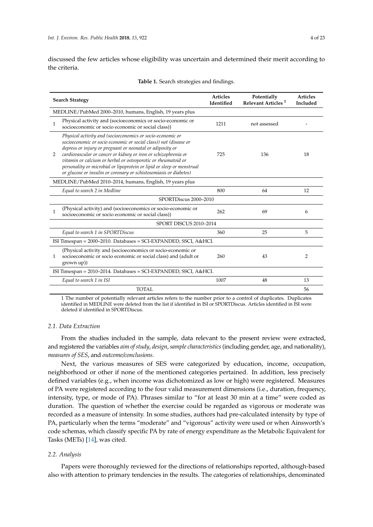discussed the few articles whose eligibility was uncertain and determined their merit according to the criteria.

<span id="page-3-0"></span>

| <b>Search Strategy</b>                                                                                                                                                                                                                                                                                                                                                                                                                                                              | <b>Articles</b><br>Identified | Potentially<br>Relevant Articles <sup>1</sup> | <b>Articles</b><br>Included |  |  |  |
|-------------------------------------------------------------------------------------------------------------------------------------------------------------------------------------------------------------------------------------------------------------------------------------------------------------------------------------------------------------------------------------------------------------------------------------------------------------------------------------|-------------------------------|-----------------------------------------------|-----------------------------|--|--|--|
| MEDLINE/PubMed 2000–2010, humans, English, 19 years plus                                                                                                                                                                                                                                                                                                                                                                                                                            |                               |                                               |                             |  |  |  |
| Physical activity and (socioeconomics or socio-economic or<br>$\mathbf{1}$<br>socioeconomic or socio economic or social class))                                                                                                                                                                                                                                                                                                                                                     | 1211                          | not assessed                                  |                             |  |  |  |
| Physical activity and (socioeconomics or socio-economic or<br>socioeconomic or socio economic or social class)) not (disease or<br>depress or injury or pregnant or neonatal or adiposity or<br>cardiovascular or cancer or kidney or iron or schizophrenia or<br>2<br>vitamin or calcium or herbal or osteoporotic or rheumatoid or<br>personality or microbial or lipoprotein or lipid or sleep or menstrual<br>or glucose or insulin or coronary or schistosomiasis or diabetes) | 725                           | 136                                           | 18                          |  |  |  |
| MEDLINE/PubMed 2010-2014, humans, English, 19 years plus                                                                                                                                                                                                                                                                                                                                                                                                                            |                               |                                               |                             |  |  |  |
| Equal to search 2 in Medline                                                                                                                                                                                                                                                                                                                                                                                                                                                        | 800                           | 64                                            | 12                          |  |  |  |
| SPORTDiscus 2000-2010                                                                                                                                                                                                                                                                                                                                                                                                                                                               |                               |                                               |                             |  |  |  |
| (Physical activity) and (socioeconomics or socio-economic or<br>$\mathbf{1}$<br>socioeconomic or socio economic or social class))                                                                                                                                                                                                                                                                                                                                                   | 262                           | 69                                            | 6                           |  |  |  |
| SPORT DISCUS 2010-2014                                                                                                                                                                                                                                                                                                                                                                                                                                                              |                               |                                               |                             |  |  |  |
| Equal to search 1 in SPORTDiscus                                                                                                                                                                                                                                                                                                                                                                                                                                                    | 360                           | 25                                            | 5                           |  |  |  |
| ISI Timespan = 2000–2010. Databases = SCI-EXPANDED, SSCI, A&HCI.                                                                                                                                                                                                                                                                                                                                                                                                                    |                               |                                               |                             |  |  |  |
| (Physical activity and (socioeconomics or socio-economic or<br>socioeconomic or socio economic or social class) and (adult or<br>1<br>grown up)                                                                                                                                                                                                                                                                                                                                     | 260                           | 43                                            | $\overline{2}$              |  |  |  |
| ISI Timespan = 2010-2014. Databases = SCI-EXPANDED, SSCI, A&HCI.                                                                                                                                                                                                                                                                                                                                                                                                                    |                               |                                               |                             |  |  |  |
| Equal to search 1 in ISI                                                                                                                                                                                                                                                                                                                                                                                                                                                            | 1007                          | 48                                            | 13                          |  |  |  |
| TOTAL                                                                                                                                                                                                                                                                                                                                                                                                                                                                               |                               |                                               | 56                          |  |  |  |

|  |  | Table 1. Search strategies and findings. |  |  |
|--|--|------------------------------------------|--|--|
|--|--|------------------------------------------|--|--|

1 The number of potentially relevant articles refers to the number prior to a control of duplicates. Duplicates identified in MEDLINE were deleted from the list if identified in ISI or SPORTDiscus. Articles identified in ISI were deleted if identified in SPORTDiscus.

### *2.1. Data Extraction*

From the studies included in the sample, data relevant to the present review were extracted, and registered the variables *aim of study*, *design*,*sample characteristics*(including gender, age, and nationality), *measures of SES*, and *outcome/conclusions*.

Next, the various measures of SES were categorized by education, income, occupation, neighborhood or other if none of the mentioned categories pertained. In addition, less precisely defined variables (e.g., when income was dichotomized as low or high) were registered. Measures of PA were registered according to the four valid measurement dimensions (i.e., duration, frequency, intensity, type, or mode of PA). Phrases similar to "for at least 30 min at a time" were coded as duration. The question of whether the exercise could be regarded as vigorous or moderate was recorded as a measure of intensity. In some studies, authors had pre-calculated intensity by type of PA, particularly when the terms "moderate" and "vigorous" activity were used or when Ainsworth's code schemas, which classify specific PA by rate of energy expenditure as the Metabolic Equivalent for Tasks (METs) [\[14\]](#page-18-13), was cited.

### *2.2. Analysis*

Papers were thoroughly reviewed for the directions of relationships reported, although-based also with attention to primary tendencies in the results. The categories of relationships, denominated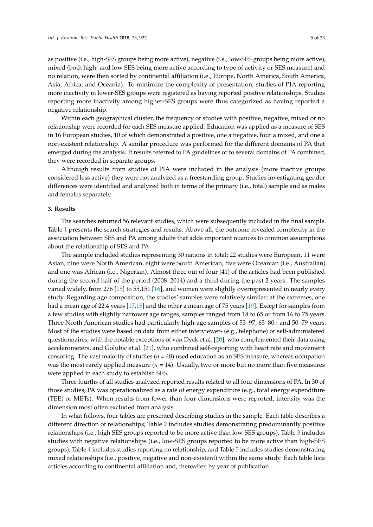as positive (i.e., high-SES groups being more active), negative (i.e., low-SES groups being more active), mixed (both high- and low SES being more active according to type of activity or SES measure) and no relation, were then sorted by continental affiliation (i.e., Europe, North America, South America, Asia, Africa, and Oceania). To minimize the complexity of presentation, studies of PIA reporting more inactivity in lower-SES groups were registered as having reported positive relationships. Studies reporting more inactivity among higher-SES groups were thus categorized as having reported a negative relationship.

Within each geographical cluster, the frequency of studies with positive, negative, mixed or no relationship were recorded for each SES measure applied. Education was applied as a measure of SES in 16 European studies, 10 of which demonstrated a positive, one a negative, four a mixed, and one a non-existent relationship. A similar procedure was performed for the different domains of PA that emerged during the analysis. If results referred to PA guidelines or to several domains of PA combined, they were recorded in separate groups.

Although results from studies of PIA were included in the analysis (more inactive groups considered less active) they were not analyzed as a freestanding group. Studies investigating gender differences were identified and analyzed both in terms of the primary (i.e., total) sample and as males and females separately.

### **3. Results**

The searches returned 56 relevant studies, which were subsequently included in the final sample. Table [1](#page-3-0) presents the search strategies and results. Above all, the outcome revealed complexity in the association between SES and PA among adults that adds important nuances to common assumptions about the relationship of SES and PA.

The sample included studies representing 30 nations in total; 22 studies were European, 11 were Asian, nine were North American, eight were South American, five were Oceanian (i.e., Australian) and one was African (i.e., Nigerian). Almost three out of four (41) of the articles had been published during the second half of the period (2008–2014) and a third during the past 2 years. The samples varied widely, from 276 [\[15\]](#page-18-14) to 55,151 [\[16\]](#page-19-0), and women were slightly overrepresented in nearly every study. Regarding age composition, the studies' samples were relatively similar; at the extremes, one had a mean age of 22.4 years [\[17,](#page-19-1)[18\]](#page-19-2) and the other a mean age of 75 years [\[19\]](#page-19-3). Except for samples from a few studies with slightly narrower age ranges, samples ranged from 18 to 65 or from 16 to 75 years. Three North American studies had particularly high-age samples of 53–97, 65–80+ and 50–79 years. Most of the studies were based on data from either interviewer- (e.g., telephone) or self-administered questionnaires, with the notable exceptions of van Dyck et al. [\[20\]](#page-19-4), who complemented their data using accelerometers, and Golubic et al. [\[21\]](#page-19-5), who combined self-reporting with heart rate and movement censoring. The vast majority of studies (*n* = 48) used education as an SES measure, whereas occupation was the most rarely applied measure  $(n = 14)$ . Usually, two or more but no more than five measures were applied in each study to establish SES.

Three fourths of all studies analyzed reported results related to all four dimensions of PA. In 30 of those studies, PA was operationalized as a rate of energy expenditure (e.g., total energy expenditure (TEE) or METs). When results from fewer than four dimensions were reported, intensity was the dimension most often excluded from analysis.

In what follows, four tables are presented describing studies in the sample. Each table describes a different direction of relationships; Table [2](#page-8-0) includes studies demonstrating predominantly positive relationships (i.e., high SES groups reported to be more active than low-SES groups), Table [3](#page-9-0) includes studies with negative relationships (i.e., low-SES groups reported to be more active than high-SES groups), Table [4](#page-10-0) includes studies reporting no relationship, and Table [5](#page-13-0) includes studies demonstrating mixed relationships (i.e., positive, negative and non-existent) within the same study. Each table lists articles according to continental affiliation and, thereafter, by year of publication.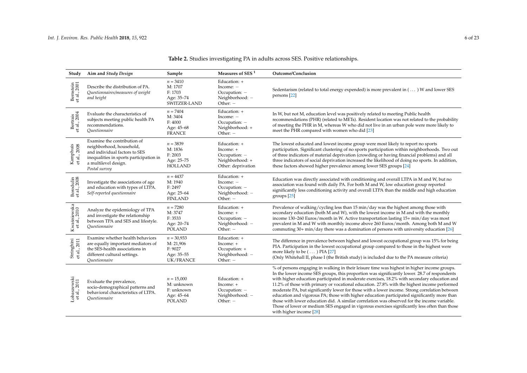| Study                           | Aim and Study Design                                                                                                                                                         | Sample                                                                  | Measures of SES <sup>1</sup>                                                        | Outcome/Conclusion                                                                                                                                                                                                                                                                                                                                                                                                                                                                                                                                                                                                                                                                                                                                                                                                       |
|---------------------------------|------------------------------------------------------------------------------------------------------------------------------------------------------------------------------|-------------------------------------------------------------------------|-------------------------------------------------------------------------------------|--------------------------------------------------------------------------------------------------------------------------------------------------------------------------------------------------------------------------------------------------------------------------------------------------------------------------------------------------------------------------------------------------------------------------------------------------------------------------------------------------------------------------------------------------------------------------------------------------------------------------------------------------------------------------------------------------------------------------------------------------------------------------------------------------------------------------|
| Bernstein<br>et al., 2001       | Describe the distribution of PA.<br>Questionnaires/measures of weight<br>and height                                                                                          | $n = 3410$<br>M: 1707<br>F: 1703<br>Age: 35-74<br>SWITZER-LAND          | Education: +<br>Income: $-$<br>Occupation: -<br>Neighborhood: -<br>Other: $-$       | Sedentarism (related to total energy expended) is more prevalent in () W and lower SES<br>persons [22]                                                                                                                                                                                                                                                                                                                                                                                                                                                                                                                                                                                                                                                                                                                   |
| Bertrais<br>et al., 2004        | Evaluate the characteristics of<br>subjects meeting public health PA<br>recommendations.<br>Ouestionnaire                                                                    | $n = 7404$<br>M: 3404<br>F: 4000<br>Age: 45-68<br><b>FRANCE</b>         | Education: +<br>Income: $-$<br>Occupation: -<br>Neighborhood: +<br>Other: -         | In W, but not M, education level was positively related to meeting Public health<br>recommendations (PHR) (related to METs). Resident location was not related to the probability<br>of meeting the PHR in M, whereas W who did not live in an urban pole were more likely to<br>meet the PHR compared with women who did [23]                                                                                                                                                                                                                                                                                                                                                                                                                                                                                           |
| Kamphuis<br>et al., 2008        | Examine the contribution of<br>neighborhood, household,<br>and individual factors to SES<br>inequalities in sports participation in<br>a multilevel design.<br>Postal survey | $n = 3839$<br>M: 1836<br>F: 2003<br>Age: 25-75<br><b>HOLLAND</b>        | Education: +<br>Income: +<br>Occupation: -<br>Neighborhood: +<br>Other: deprivation | The lowest educated and lowest income group were most likely to report no sports<br>participation. Significant clustering of no sports participation within neighborhoods. Two out<br>of three indicators of material deprivation (crowding or having financial problems) and all<br>three indicators of social deprivation increased the likelihood of doing no sports. In addition,<br>these factors showed higher prevalence among lower SES groups [24]                                                                                                                                                                                                                                                                                                                                                              |
| Borodulin<br>et al., 2008       | Investigate the associations of age<br>and education with types of LTPA.<br>Self-reported questionnaire                                                                      | $n = 4437$<br>M: 1940<br>F: 2497<br>Age: 25-64<br><b>FINLAND</b>        | Education: +<br>Income: -<br>Occupation: -<br>Neighborhood: -<br>Other: -           | Education was directly associated with conditioning and overall LTPA in M and W, but no<br>association was found with daily PA. For both M and W, low education group reported<br>significantly less conditioning activity and overall LTPA than the middle and high education<br>groups $[25]$                                                                                                                                                                                                                                                                                                                                                                                                                                                                                                                          |
| Kwaśniewska<br>et al., 2010     | Analyze the epidemiology of TPA<br>and investigate the relationship<br>between TPA and SES and lifestyle.<br>Questionnaire                                                   | $n = 7280$<br>M: 3747<br>F: 3533<br>Age: 20-74<br><b>POLAND</b>         | Education: +<br>Income: +<br>Occupation: -<br>Neighborhood: -<br>Other: $-$         | Prevalence of walking/cycling less than 15 min/day was the highest among those with<br>secondary education (both M and W), with the lowest income in M and with the monthly<br>income 130-260 Euros/month in W. Active transportation lasting 15+ min/day was most<br>prevalent in M and W with monthly income above 260 Euros/month. Among both M and W<br>commuting 30+ min/day there was a domination of persons with university education [26]                                                                                                                                                                                                                                                                                                                                                                       |
| Stringhini<br>et al., 2011      | Examine whether health behaviors<br>are equally important mediators of<br>the SES-health associations in<br>different cultural settings.<br>Questionnaire                    | $n = 30,933$<br>M: 21,906<br>F: 9027<br>Age: 35-55<br>UK/FRANCE         | Education: +<br>Income: +<br>Occupation: +<br>Neighborhood: -<br>Other: -           | The difference in prevalence between highest and lowest occupational group was 15% for being<br>PIA. Participation in the lowest occupational group compared to those in the highest were<br>more likely to be $(\ldots)$ PIA [27]<br>(Only Whitehall II, phase I (the British study) is included due to the PA measure criteria)                                                                                                                                                                                                                                                                                                                                                                                                                                                                                        |
| ${\rm Lobszewski}$ et al., 2011 | Evaluate the prevalence,<br>socio-demographical patterns and<br>behavioral characteristics of LTPA.<br>Questionnaire                                                         | $n = 15,000$<br>M: unknown<br>F: unknown<br>Age: 45-64<br><b>POLAND</b> | Education: +<br>Income: +<br>Occupation: -<br>Neighborhood: -<br>Other: $-$         | % of persons engaging in walking in their leisure time was highest in higher income groups.<br>In the lower income SES groups, this proportion was significantly lower. 28.7 of respondents<br>with higher education participated in moderate exercises, 18.2% with secondary education and<br>11.2% of those with primary or vocational education. 27.8% with the highest income performed<br>moderate PA, but significantly lower for those with a lower income. Strong correlation between<br>education and vigorous PA; those with higher education participated significantly more than<br>those with lower education did. A similar correlation was observed for the income variable.<br>Those of lower or medium SES engaged in vigorous exercises significantly less often than those<br>with higher income [28] |

# **Table 2.** Studies investigating PA in adults across SES. Positive relationships.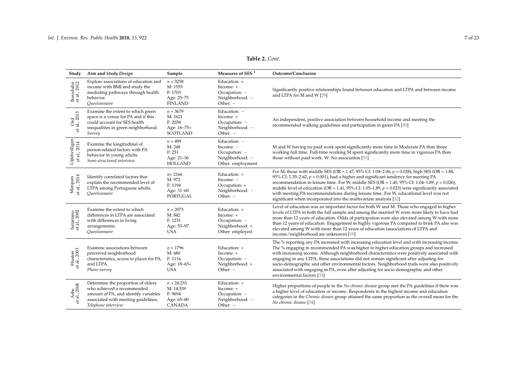| Study                                                                         | Aim and Study Design                                                                                                                                                   | Sample                                                              | Measures of SES <sup>1</sup>                                                         | Outcome/Conclusion                                                                                                                                                                                                                                                                                                                                                                                                                                                                                                                                                                                    |
|-------------------------------------------------------------------------------|------------------------------------------------------------------------------------------------------------------------------------------------------------------------|---------------------------------------------------------------------|--------------------------------------------------------------------------------------|-------------------------------------------------------------------------------------------------------------------------------------------------------------------------------------------------------------------------------------------------------------------------------------------------------------------------------------------------------------------------------------------------------------------------------------------------------------------------------------------------------------------------------------------------------------------------------------------------------|
| Borodulin<br>et al., 2012                                                     | Explore associations of education and<br>income with BMI and study the<br>mediating pathways through health<br>behavior.<br>Ouestionnaire                              | $n = 3258$<br>M: 1555<br>F: 1703<br>Age: 25-75<br><b>FINLAND</b>    | Education: +<br>Income: +<br>Occupation: -<br>Neighborhood: -<br>Other: $-$          | Significantly positive relationships found between education and LTPA and between income<br>and LTPA for M and W [29]                                                                                                                                                                                                                                                                                                                                                                                                                                                                                 |
| Ord<br>al., 2013<br>ಕ                                                         | Examine the extent to which green<br>space is a venue for PA and if this<br>could account for SES health<br>inequalities in green neighborhood.<br>Survey              | $n = 3679$<br>M: 1621<br>F: 2058<br>Age: 16-75+<br><b>SCOTLAND</b>  | Education: -<br>Income: +<br>Occupation: -<br>Neighborhood: -<br>Other: -            | An independent, positive association between household income and meeting the<br>recommended walking guidelines and participation in green PA [30]                                                                                                                                                                                                                                                                                                                                                                                                                                                    |
| $\begin{array}{c} \text{Uijtdwilligen} \\ \text{et al.,} \, 2014 \end{array}$ | Examine the longitudinal of<br>person-related factors with PA<br>behavior in young adults.<br>Semi-structured interview                                                | $n = 499$<br>M: 248<br>F: 251<br>Age: 21-36<br><b>HOLLAND</b>       | Education: -<br>Income: $-$<br>Occupation: -<br>Neighborhood: -<br>Other: employment | M and W having no paid work spent significantly more time in Moderate PA than those<br>working full time. Full-time working M spent significantly more time in vigorous PA than<br>those without paid work. W: No association [31]                                                                                                                                                                                                                                                                                                                                                                    |
| Marques<br>et al., 2014<br>et al.,                                            | Identify correlated factors that<br>explain the recommended level of<br>LTPA among Portuguese adults.<br><i><u><b>Ouestionnaire</b></u></i>                            | $n = 2166$<br>M: 972<br>F: 1194<br>Age: 31-60<br>PORTUGAL           | Education: +<br>Income: $-$<br>Occupation: +<br>Neighborhood: -<br>Other: -          | For M, those with middle SES (OR = 1.47, 95% CI: 1.04–2.06, $p = 0.028$ ), high SES (OR = 1.88,<br>95% CI: 1.35–2.62, $p < 0.001$ ), had a higher and significant tendency for meeting PA<br>recommendation in leisure time. For W, middle SES (OR = 1.40, 95% CI: 1.04–1.89, $p = 0.026$ ),<br>middle level of education (OR = 1.41, 95% CI: 1.05–1.89, $p = 0.023$ ) were significantly associated<br>with meeting PA recommendations during leisure time. For W, educational level was not<br>significant when incorporated into the multivariate analysis [32]                                    |
| Satariano<br>et al., 2002                                                     | Examine the extent to which<br>differences in LTPA are associated<br>with differences in living<br>arrangements.<br>Ouestionnaire                                      | $n = 2073$<br>M: 842<br>F: 1231<br>Age: 53-97<br><b>USA</b>         | Education: +<br>Income: +<br>Occupation: -<br>Neighborhood: +<br>Other: employed     | Level of education was an important factor for both W and M. Those who engaged in higher<br>levels of LTPA in both the full sample and among the married W were more likely to have had<br>more than 12 years of education. Odds of participation were also elevated among W with more<br>than 12 years of education. Engagement in highly vigorous PA compared to brisk PA also was<br>elevated among W with more than 12 years of education (associations of LTPA and<br>income/neighborhood are unknown) [19]                                                                                      |
| Huston<br>et al., 2003                                                        | Examine associations between<br>perceived neighborhood<br>characteristics, access to places for PA,<br>and LTPA.<br>Phone survey                                       | $n = 1796$<br>M: 680<br>F: 1116<br>Age: 18-65+<br><b>USA</b>        | Education: +<br>Income: +<br>Occupation: -<br>Neighborhood: +<br>Other: $-$          | The % reporting any PA increased with increasing education level and with increasing income.<br>The % engaging in recommended PA was higher in higher education groups and increased<br>with increasing income. Although neighborhood characteristics were positively associated with<br>engaging in any LTPA, these associations did not remain significant after adjusting for<br>socio-demographic and other environmental factors. Neighborhood trails were also positively<br>associated with engaging in PA, even after adjusting for socio-demographic and other<br>environmental factors [33] |
| Ashe<br>al., 2008                                                             | Determine the proportion of elders<br>who achieved a recommended<br>amount of PA, and identify variables<br>associated with meeting guidelines.<br>Telephone interview | $n = 24.233$<br>M: 14,539<br>F: 9694<br>Age: 65-80<br><b>CANADA</b> | Education: +<br>Income: +<br>Occupation: -<br>Neighborhood: -<br>Other: -            | Higher proportions of people in the No chronic disease group met the PA guidelines if there was<br>a higher level of education or income. Respondents in the highest income and education<br>categories in the Chronic disease group attained the same proportion as the overall mean for the<br>No chronic disease [34]                                                                                                                                                                                                                                                                              |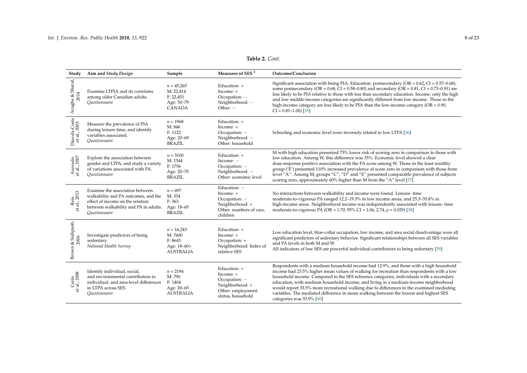# **Table 2.** *Cont.*

| Study                                | Aim and Study Design                                                                                                                                                                       | Sample                                                                | Measures of SES <sup>1</sup>                                                                            | Outcome/Conclusion                                                                                                                                                                                                                                                                                                                                                                                                                                                                                                                                                                       |
|--------------------------------------|--------------------------------------------------------------------------------------------------------------------------------------------------------------------------------------------|-----------------------------------------------------------------------|---------------------------------------------------------------------------------------------------------|------------------------------------------------------------------------------------------------------------------------------------------------------------------------------------------------------------------------------------------------------------------------------------------------------------------------------------------------------------------------------------------------------------------------------------------------------------------------------------------------------------------------------------------------------------------------------------------|
| Azagba & Sharaf,<br>2014             | Examine LTPIA and its correlates<br>among older Canadian adults.<br>Questionnaire                                                                                                          | $n = 45,265$<br>M: 22,814<br>F: 22,451<br>Age: 50-79<br>CANADA        | Education: +<br>Income: +<br>Occupation: -<br>Neighborhood: -<br>Other: $-$                             | Significant association with being PIA. Education: postsecondary (OR = $0.62$ , CI = $0.57-0.68$ ),<br>some postsecondary (OR = $0.68$ , CI = $0.58 - 0.80$ ) and secondary (OR = $0.81$ , CI = $0.73 - 0.91$ ) are<br>less likely to be PIA relative to those with less than secondary education. Income: only the high<br>and low middle-income categories are significantly different from low income. Those in the<br>high-income category are less likely to be PIA than the low-income category ( $OR = 0.90$ ,<br>$CI = 0.81 - 1.00$ [35]                                         |
| Dias-da-Costa<br>et al., 2005        | Measure the prevalence of PIA<br>during leisure time, and identify<br>variables associated.<br><i><u><b>Ouestionnaire</b></u></i>                                                          | $n = 1968$<br>M: 846<br>F: 1122<br>Age: 20-69<br><b>BRAZIL</b>        | Education: +<br>Income: +<br>Occupation: -<br>Neighborhood: -<br>Other: household                       | Schooling and economic level were inversely related to low LTPA [36]                                                                                                                                                                                                                                                                                                                                                                                                                                                                                                                     |
| Azevedo<br>et al., 2007              | Explore the association between<br>gender and LTPA, and study a variety<br>of variations associated with PA.<br>Questionnaire                                                              | $n = 3100$<br>M: 1344<br>F: 1756<br>Age: 20-70<br><b>BRAZIL</b>       | Education: +<br>Income: $-$<br>Occupation: -<br>Neighborhood: -<br>Other: economic level                | M with high education presented 75% lower risk of scoring zero in comparison to those with<br>low education. Among W, this difference was 35%. Economic level showed a clear<br>dose-response positive association with the PA score among W. Those in the least wealthy<br>group ('E') presented 110% increased prevalence of score zero in comparison with those from<br>level "A". Among M, groups "C", "D" and "E" presented comparable prevalence of subjects<br>scoring zero, approximately 60% higher than M from the "A" level [37]                                              |
| Reis<br>al., 2013<br>$\ddot{\sigma}$ | Examine the association between<br>walkability and PA outcomes, and the<br>effect of income on the relation<br>between walkability and PA in adults.<br><i><u><b>Ouestionnaire</b></u></i> | $n = 697$<br>M: 334<br>F: 363<br>Age: 18-65<br><b>BRAZIL</b>          | Education: -<br>Income: +<br>Occupation: -<br>Neighborhood: +<br>Other: numbers of cars,<br>children    | No interactions between walkability and income were found. Leisure-time<br>moderate-to-vigorous PA ranged 12.2–19.3% in low income areas, and 25.3–35.8% in<br>high-income areas. Neighborhood income was independently associated with leisure-time<br>moderate-to-vigorous PA (OR = 1.70, 95% CI = 1.06, 2.74, $p = 0.029$ ) [38]                                                                                                                                                                                                                                                      |
| & Siahpush,<br>2006<br>Brown         | Investigate predictors of being<br>sedentary.<br>National Health Survey                                                                                                                    | $n = 16,243$<br>M: 7600<br>F: 8643<br>Age: 18-60+<br><b>AUSTRALIA</b> | Education: +<br>Income: +<br>Occupation: +<br>Neighborhood: Index of<br>relative SES                    | Low education level, blue-collar occupation, low income, and area social disadvantage were all<br>significant predictors of sedentary behavior. Significant relationships between all SES variables<br>and PA levels in both M and W.<br>All indicators of low SES are powerful individual contributors to being sedentary [39]                                                                                                                                                                                                                                                          |
| Cerin<br>et al., 2008                | Identify individual, social,<br>and environmental contributors to<br>individual- and area-level differences<br>in LTPA across SES.<br>Ouestionnaire                                        | $n = 2194$<br>M: 790<br>F: 1404<br>Age: 20-65<br><b>AUSTRALIA</b>     | Education: +<br>Income: +<br>Occupation: -<br>Neighborhood: +<br>Other: employment<br>status, household | Respondents with a medium household income had 12.9%, and those with a high household<br>income had 23.5% higher mean values of walking for recreation than respondents with a low<br>household income. Compared to the SES reference categories, individuals with a secondary<br>education, with medium household income, and living in a medium-income neighborhood<br>would report 33.5% more recreational walking due to differences in the examined mediating<br>variables. The mediated difference in mean walking between the lowest and highest SES<br>categories was 53.9% [40] |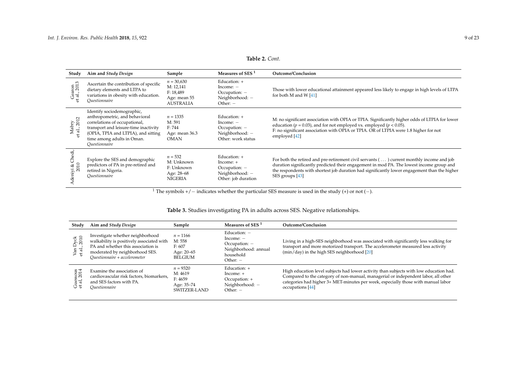# **Table 2.** *Cont.*

| Study                        | Aim and Study Design                                                                                                                                                                                                         | Sample                                                                     | Measures of SES <sup>1</sup>                                                               | Outcome/Conclusion                                                                                                                                                                                                                                                                                       |
|------------------------------|------------------------------------------------------------------------------------------------------------------------------------------------------------------------------------------------------------------------------|----------------------------------------------------------------------------|--------------------------------------------------------------------------------------------|----------------------------------------------------------------------------------------------------------------------------------------------------------------------------------------------------------------------------------------------------------------------------------------------------------|
| Gearon<br>et al., 2013       | Ascertain the contribution of specific<br>dietary elements and LTPA to<br>variations in obesity with education.<br>Ouestionnaire                                                                                             | $n = 30,630$<br>M: 12,141<br>F: 18,489<br>Age: mean 55<br><b>AUSTRALIA</b> | Education: +<br>Income: $-$<br>$Occupation: -$<br>Neighborhood: -<br>Other: $-$            | Those with lower educational attainment appeared less likely to engage in high levels of LTPA<br>for both M and W $[41]$                                                                                                                                                                                 |
| Mabry<br>et al., 2012        | Identify sociodemographic,<br>anthropometric, and behavioral<br>correlations of occupational,<br>transport and leisure-time inactivity<br>(OPIA, TPIA and LTPIA), and sitting<br>time among adults in Oman.<br>Ouestionnaire | $n = 1335$<br>M: 591<br>F: 744<br>Age: mean 36.3<br><b>OMAN</b>            | Education: $+$<br>Income: $-$<br>$Occupation: -$<br>Neighborhood: -<br>Other: work status  | M: no significant association with OPIA or TPIA. Significantly higher odds of LTPIA for lower<br>education ( $p = 0.03$ ), and for not employed vs. employed ( $p < 0.05$ ).<br>F: no significant association with OPIA or TPIA. OR of LTPIA were 1.8 higher for not<br>employed [42]                    |
| ਚੋ<br>ర్<br>niyi & (<br>2010 | Explore the SES and demographic<br>predictors of PA in pre-retired and<br>retired in Nigeria.<br><i>Ouestionnaire</i>                                                                                                        | $n = 532$<br>M: Unknown<br>F: Unknown<br>Age: 28-68<br><b>NIGERIA</b>      | Education: $+$<br>Income: $+$<br>$Occupation: -$<br>Neighborhood: -<br>Other: job duration | For both the retired and pre-retirement civil servants () current monthly income and job<br>duration significantly predicted their engagement in mod PA. The lowest income group and<br>the respondents with shortest job duration had significantly lower engagement than the higher<br>SES groups [43] |

<sup>1</sup> The symbols +/ − indicates whether the particular SES measure is used in the study (+) or not (−).

# **Table 3.** Studies investigating PA in adults across SES. Negative relationships.

<span id="page-8-0"></span>

| Study                     | Aim and Study Design                                                                                                                                                                   | Sample                                                         | Measures of SES <sup>1</sup>                                                                        | Outcome/Conclusion                                                                                                                                                                                                                                                                    |
|---------------------------|----------------------------------------------------------------------------------------------------------------------------------------------------------------------------------------|----------------------------------------------------------------|-----------------------------------------------------------------------------------------------------|---------------------------------------------------------------------------------------------------------------------------------------------------------------------------------------------------------------------------------------------------------------------------------------|
| Van Dyck<br>et al., 2010  | Investigate whether neighborhood<br>walkability is positively associated with<br>PA and whether this association is<br>moderated by neighborhood SES.<br>Ouestionnaire + accelerometer | $n = 1166$<br>M: 558<br>F: 607<br>Age: 20–65<br><b>BELGIUM</b> | Education: $-$<br>$Income: -$<br>$Occupation: -$<br>Neighborhood: annual<br>household<br>Other: $-$ | Living in a high-SES neighborhood was associated with significantly less walking for<br>transport and more motorized transport. The accelerometer measured less activity<br>$(min/day)$ in the high SES neighborhood $[20]$                                                           |
| uessous<br>al, 2014<br>こせ | Examine the association of<br>cardiovascular risk factors, biomarkers,<br>and SES factors with PA.<br><i><u>Ouestionnaire</u></i>                                                      | $n = 9320$<br>M: 4619<br>F: 4659<br>Age: 35-74<br>SWITZER-LAND | Education: +<br>$Income: +$<br>Occupation: +<br>Neighborhood: -<br>Other: $-$                       | High education level subjects had lower activity than subjects with low education had.<br>Compared to the category of non-manual, managerial or independent labor, all other<br>categories had higher 3+ MET-minutes per week, especially those with manual labor<br>occupations [44] |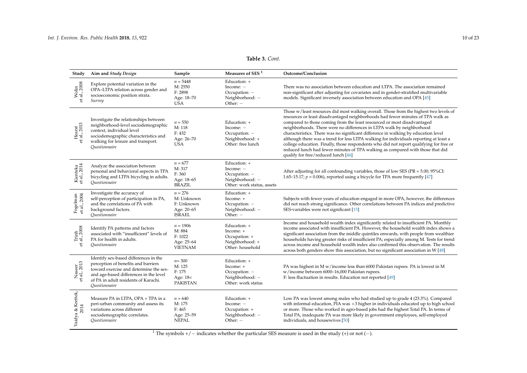# **Table 3.** *Cont.*

<span id="page-9-0"></span>

| Study                               | Aim and Study Design                                                                                                                                                                                                      | Sample                                                               | Measures of SES <sup>1</sup>                                                                | Outcome/Conclusion                                                                                                                                                                                                                                                                                                                                                                                                                                                                                                                                                                                                                                                                                                               |
|-------------------------------------|---------------------------------------------------------------------------------------------------------------------------------------------------------------------------------------------------------------------------|----------------------------------------------------------------------|---------------------------------------------------------------------------------------------|----------------------------------------------------------------------------------------------------------------------------------------------------------------------------------------------------------------------------------------------------------------------------------------------------------------------------------------------------------------------------------------------------------------------------------------------------------------------------------------------------------------------------------------------------------------------------------------------------------------------------------------------------------------------------------------------------------------------------------|
| Wolin<br>et al., 2008               | Explore potential variation in the<br>OPA-LTPA relation across gender and<br>socioeconomic position strata.<br>Survey                                                                                                     | $n = 5448$<br>M: 2550<br>F: 2898<br>Age: 18-70<br><b>USA</b>         | Education: +<br>Income: $-$<br>Occupation: -<br>Neighborhood: -<br>Other: $-$               | There was no association between education and LTPA. The association remained<br>non-significant after adjusting for covariates and in gender-stratified multivariable<br>models. Significant inversely association between education and OPA [45]                                                                                                                                                                                                                                                                                                                                                                                                                                                                               |
| Hearst<br>et al., 2013              | Investigate the relationships between<br>neighborhood-level sociodemographic<br>context, individual level<br>sociodemographic characteristics and<br>walking for leisure and transport.<br>Ouestionnaire                  | $n = 550$<br>M: 118<br>F: 432<br>Age: 26-70<br><b>USA</b>            | Education: +<br>Income: $-$<br>Occupation: -<br>Neighborhood: +<br>Other: free lunch        | Those w/least resources did most walking overall. Those from the highest two levels of<br>resources or least disadvantaged neighborhoods had fewer minutes of TPA walk as<br>compared to those coming from the least resourced or most disadvantaged<br>neighborhoods. There were no differences in LTPA walk by neighborhood<br>characteristics. There was no significant difference in walking by education level<br>although there was a trend for less LTPA walking for individuals reporting at least a<br>college education. Finally, those respondents who did not report qualifying for free or<br>reduced lunch had fewer minutes of TPA walking as compared with those that did<br>qualify for free/reduced lunch [46] |
| Kienteka<br>et al., 2014            | Analyze the association between<br>personal and behavioral aspects in TPA<br>bicycling and LTPA bicycling in adults.<br>Ouestionnaire                                                                                     | $n = 677$<br>M: 317<br>F: 360<br>Age: 18-65<br><b>BRAZIL</b>         | Education: +<br>Income: -<br>Occupation: -<br>Neighborhood: -<br>Other: work status, assets | After adjusting for all confounding variables, those of low SES ( $PR = 5.00$ ; $95\%CI$ :<br>1.65–15.17; $p = 0.006$ ), reported using a bicycle for TPA more frequently [47]                                                                                                                                                                                                                                                                                                                                                                                                                                                                                                                                                   |
| Fogelman<br>et al., 2004            | Investigate the accuracy of<br>self-perception of participation in PA,<br>and the correlations of PA with<br>background factors.<br>Ouestionnaire                                                                         | $n = 276$<br>M: Unknown<br>F: Unknown<br>Age: 20-65<br><b>ISRAEL</b> | Education: +<br>Income: +<br>Occupation: -<br>Neighborhood: -<br>Other: $-$                 | Subjects with fewer years of education engaged in more OPA, however, the differences<br>did not reach strong significance. Other correlations between PA indices and predictive<br>SES-variables were not significant [15]                                                                                                                                                                                                                                                                                                                                                                                                                                                                                                       |
| Trinh<br>: al., 2008<br>$\tilde{e}$ | Identify PA patterns and factors<br>associated with "insufficient" levels of<br>PA for health in adults.<br>Questionnaire                                                                                                 | $n = 1906$<br>M: 884<br>F: 1022<br>Age: 25-64<br><b>VIETNAM</b>      | Education: +<br>Income: +<br>Occupation: +<br>Neighborhood: +<br>Other: household           | Income and household wealth index significantly related to insufficient PA. Monthly<br>income associated with insufficient PA. However, the household wealth index shows a<br>significant association from the middle quintiles onwards, with people from wealthier<br>households having greater risks of insufficient PA; especially among M. Tests for trend<br>across income and household wealth index also confirmed this observation. The results<br>across both genders show this association, but no significant association in W [48]                                                                                                                                                                                   |
| Naseer<br>et al., 2013              | Identify sex-based differences in the<br>perception of benefits and barriers<br>toward exercise and determine the sex-<br>and age-based differences in the level<br>of PA in adult residents of Karachi.<br>Questionnaire | $n = 300$<br>M: 125<br>F: 175<br>Age: 18<<br><b>PAKISTAN</b>         | Education: +<br>Income: +<br>Occupation: -<br>Neighborhood: -<br>Other: work status         | PA was highest in M w/income less than 6000 Pakistan rupees. PA is lowest in M<br>w/income between 6000-16,000 Pakistan rupees.<br>F: less fluctuation in results. Education not reported [49]                                                                                                                                                                                                                                                                                                                                                                                                                                                                                                                                   |
| Vaidya & Krettek,<br>2014           | Measure PA in LTPA, OPA + TPA in a<br>peri-urban community and assess its<br>variations across different<br>sociodemographic correlates.<br>Ouestionnaire                                                                 | $n = 640$<br>M: 175<br>F: 465<br>Age: 25-59<br><b>NEPAL</b>          | Education: +<br>Income: $-$<br>Occupation: +<br>Neighborhood: -<br>Other: $-$               | Low PA was lowest among males who had studied up to grade 4 (23.3%). Compared<br>with informal education, PIA was $\times$ 3 higher in individuals educated up to high school<br>or more. Those who worked in agro-based jobs had the highest Total PA. In terms of<br>Total PA, inadequate PA was more likely in government employees, self-employed<br>individuals, and housewives [50]                                                                                                                                                                                                                                                                                                                                        |

<sup>1</sup> The symbols +/ − indicates whether the particular SES measure is used in the study (+) or not (−).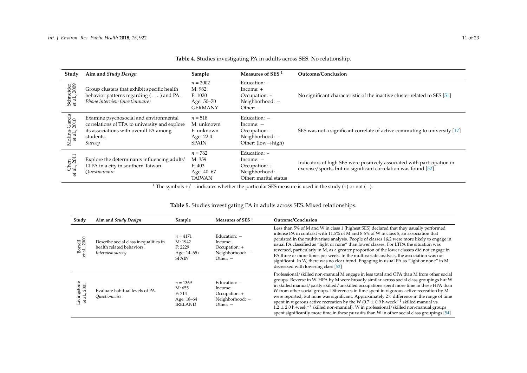| Study                         | Aim and Study Design                                                                                                                                     | Sample                                                             | Measures of SES <sup>1</sup>                                                                           | Outcome/Conclusion                                                                                                                        |
|-------------------------------|----------------------------------------------------------------------------------------------------------------------------------------------------------|--------------------------------------------------------------------|--------------------------------------------------------------------------------------------------------|-------------------------------------------------------------------------------------------------------------------------------------------|
| Schneider<br>et al., 2009     | Group clusters that exhibit specific health<br>behavior patterns regarding $(\dots)$ and PA.<br>Phone interview (questionnaire)                          | $n = 2002$<br>M: 982<br>F: 1020<br>Age: 50–70<br><b>GERMANY</b>    | Education: +<br>Income: $+$<br>Occupation: +<br>Neighborhood: -<br>Other: $-$                          | No significant characteristic of the inactive cluster related to SES [51]                                                                 |
| Molina-García<br>et al., 2010 | Examine psychosocial and environmental<br>correlations of TPA to university and explore<br>its associations with overall PA among<br>students.<br>Survey | $n = 518$<br>M: unknown<br>F: unknown<br>Age: 22.4<br><b>SPAIN</b> | Education: $-$<br>Income: $-$<br>$Occupation: -$<br>Neighborhood: -<br>Other: $(low \rightarrow high)$ | SES was not a significant correlate of active commuting to university [17]                                                                |
| Chen<br>et al., 2011          | Explore the determinants influencing adults'<br>LTPA in a city in southern Taiwan.<br>Ouestionnaire                                                      | $n = 762$<br>M: 359<br>F: 403<br>Age: 40–67<br>TAIWAN              | Education: +<br>Income: $-$<br>Occupation: +<br>Neighborhood: -<br>Other: marital status               | Indicators of high SES were positively associated with participation in<br>exercise/sports, but no significant correlation was found [52] |

### **Table 4.** Studies investigating PA in adults across SES. No relationship.

<sup>1</sup> The symbols +/− indicates whether the particular SES measure is used in the study (+) or not (−).

#### <span id="page-10-0"></span>**Study Aim and** *Study Design* **Sample Measures of SES <sup>1</sup> Outcome/Conclusion** Borrell et al., 2000 Describe social class inequalities in health related behaviors. *Interview survey n* = 4171 M: 1942 F: 2229 Age: 14–65+ **SPAIN** Education: − Income: − Occupation: + Neighborhood: -Other: − Less than 5% of M and W in class 1 (highest SES) declared that they usually performed intense PA in contrast with 11.5% of M and 8.6% of W in class 5, an association that persisted in the multivariate analysis. People of classes 1&2 were more likely to engage in usual PA classified as "light or none" than lower classes. For LTPA the situation was reversed, particularly in M, as a greater proportion of the lower classes did not engage in PA three or more times per week. In the multivariate analysis, the association was not significant. In W, there was no clear trend. Engaging in usual PA as "light or none" in M decreased with lowering class [\[53\]](#page-20-18) Livingstone et al., 2001 Evaluate habitual levels of PA. *Questionnaire n* = 1369 M: 655 F: 714 Age: 18–64 IRELAND Education:  $-$ Income: − Occupation: + Neighborhood: -Other: − Professional/skilled non-manual M engage in less total and OPA than M from other social groups. Reverse in W. HPA by M were broadly similar across social class groupings but W in skilled manual/partly skilled/unskilled occupations spent more time in these HPA than W from other social groups. Differences in time spent in vigorous active recreation by M were reported, but none was significant. Approximately  $2 \times$  difference in the range of time spent in vigorous active recreation by the W (0.7  $\pm$  0.9 h·week<sup>-1</sup> skilled manual vs.

 $1.2 \pm 2.0$  h·week<sup>-1</sup> skilled non-manual). W in professional/skilled non-manual groups spent significantly more time in these pursuits than W in other social class groupings [\[54\]](#page-20-19)

### **Table 5.** Studies investigating PA in adults across SES. Mixed relationships.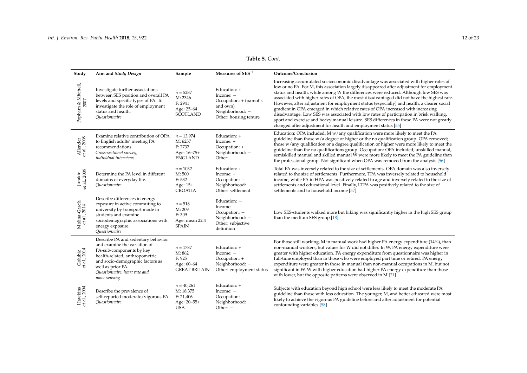# **Table 5.** *Cont.*

| Study                         | Aim and Study Design                                                                                                                                                                                                                        | Sample                                                               | Measures of SES <sup>1</sup>                                                                                   | Outcome/Conclusion                                                                                                                                                                                                                                                                                                                                                                                                                                                                                                                                                                                                                                                                                                                                                                                                |
|-------------------------------|---------------------------------------------------------------------------------------------------------------------------------------------------------------------------------------------------------------------------------------------|----------------------------------------------------------------------|----------------------------------------------------------------------------------------------------------------|-------------------------------------------------------------------------------------------------------------------------------------------------------------------------------------------------------------------------------------------------------------------------------------------------------------------------------------------------------------------------------------------------------------------------------------------------------------------------------------------------------------------------------------------------------------------------------------------------------------------------------------------------------------------------------------------------------------------------------------------------------------------------------------------------------------------|
| Popham & Mitchell,<br>2007    | Investigate further associations<br>between SES position and overall PA<br>levels and specific types of PA. To<br>investigate the role of employment<br>status and health.<br>Ouestionnaire                                                 | $n = 5287$<br>M: 2346<br>F: 2941<br>Age: 25-64<br><b>SCOTLAND</b>    | Education: +<br>Income: $-$<br>Occupation: + (parent's<br>and own)<br>Neighborhood: -<br>Other: housing tenure | Increasing accumulated socioeconomic disadvantage was associated with higher rates of<br>low or no PA. For M, this association largely disappeared after adjustment for employment<br>status and health, while among W the differences were reduced. Although low SES was<br>associated with higher rates of OPA, the most disadvantaged did not have the highest rate.<br>However, after adjustment for employment status (especially) and health, a clearer social<br>gradient in OPA emerged in which relative rates of OPA increased with increasing<br>disadvantage. Low SES was associated with low rates of participation in brisk walking,<br>sport and exercise and heavy manual leisure. SES differences in these PA were not greatly<br>changed after adjustment for health and employment status [55] |
| Allender<br>et al., 2008      | Examine relative contribution of OPA<br>to English adults' meeting PA<br>recommendations.<br>Cross-sectional survey,<br>individual interviews                                                                                               | $n = 13,974$<br>M: 6237<br>F: 7737<br>Age: 16-75+<br><b>ENGLAND</b>  | Education: +<br>Income: +<br>Occupation: +<br>Neighborhood: -<br>Other: $-$                                    | Education: OPA included, M w/any qualification were more likely to meet the PA<br>guideline than those w/a degree or higher or the no qualification group. OPA removed;<br>those $w/$ any qualification or a degree qualification or higher were more likely to meet the<br>guideline than the no qualifications group. Occupation: OPA included; unskilled manual,<br>semiskilled manual and skilled manual W were more likely to meet the PA guideline than<br>the professional group. Not significant when OPA was removed from the analysis [56]                                                                                                                                                                                                                                                              |
| Jurakic<br>et al., 2009       | Determine the PA level in different<br>domains of everyday life.<br>Ouestionnaire                                                                                                                                                           | $n = 1032$<br>M: 500<br>F: 532<br>Age: 15+<br><b>CROATIA</b>         | Education: +<br>Income: +<br>Occupation: -<br>Neighborhood: -<br>Other: settlement                             | Total PA was inversely related to the size of settlements. OPA domain was also inversely<br>related to the size of settlements. Furthermore, TPA was inversely related to household<br>income, while PA in HPA was positively related to age and inversely related to the size of<br>settlements and educational level. Finally, LTPA was positively related to the size of<br>settlements and to household income [57]                                                                                                                                                                                                                                                                                                                                                                                           |
| Molina-García<br>et al., 2014 | Describe differences in energy<br>exposure in active commuting to<br>university by transport mode in<br>students and examine<br>sociodemographic associations with<br>energy exposure.<br>Ouestionnaire                                     | $n = 518$<br>M: 209<br>F: 309<br>Age: mean 22.4<br><b>SPAIN</b>      | Education: -<br>Income: $-$<br>Occupation: -<br>Neighborhood: -<br>Other: subjective<br>definition             | Low SES-students walked more but biking was significantly higher in the high SES group<br>than the medium SES group [18]                                                                                                                                                                                                                                                                                                                                                                                                                                                                                                                                                                                                                                                                                          |
| Golubic<br>et al., 2014       | Describe PA and sedentary behavior<br>and examine the variation of<br>PA-sub-components by key<br>health-related, anthropometric,<br>and socio-demographic factors as<br>well as prior PA.<br>Questionnaire, heart rate and<br>move sensing | $n = 1787$<br>M: 862<br>F: 925<br>Age: 60-64<br><b>GREAT BRITAIN</b> | Education: +<br>Income: -<br>Occupation: +<br>Neighborhood: -<br>Other: employment status                      | For those still working, M in manual work had higher PA energy expenditure (14%), than<br>non-manual workers, but values for W did not differ. In W, PA energy expenditure were<br>greater with higher education. PA energy expenditure from questionnaire was higher in<br>full-time employed than in those who were employed part time or retired. PA energy<br>expenditure were greater in those in manual than non-manual occupations in M, but not<br>significant in W. W with higher education had higher PA energy expenditure than those<br>with lower, but the opposite patterns were observed in M [21]                                                                                                                                                                                                 |
| Hawkins<br>et al., 2004       | Describe the prevalence of<br>self-reported moderate/vigorous PA.<br>Ouestionnaire                                                                                                                                                          | $n = 40,261$<br>M: 18,375<br>F: 21,406<br>Age: 20-55+<br><b>USA</b>  | Education: +<br>Income: $-$<br>Occupation: -<br>Neighborhood: -<br>Other: $-$                                  | Subjects with education beyond high school were less likely to meet the moderate PA<br>guideline than those with less education. The younger, M, and better educated were most<br>likely to achieve the vigorous PA guideline before and after adjustment for potential<br>confounding variables [58]                                                                                                                                                                                                                                                                                                                                                                                                                                                                                                             |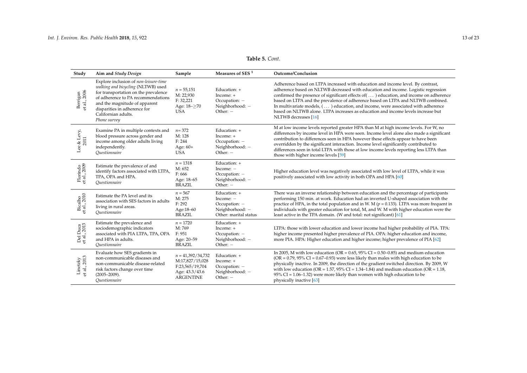# **Table 5.** *Cont.*

| Study                    | Aim and Study Design                                                                                                                                                                                                                                              | Sample                                                                                          | Measures of SES <sup>1</sup>                                                             | Outcome/Conclusion                                                                                                                                                                                                                                                                                                                                                                                                                                                                                                                                        |
|--------------------------|-------------------------------------------------------------------------------------------------------------------------------------------------------------------------------------------------------------------------------------------------------------------|-------------------------------------------------------------------------------------------------|------------------------------------------------------------------------------------------|-----------------------------------------------------------------------------------------------------------------------------------------------------------------------------------------------------------------------------------------------------------------------------------------------------------------------------------------------------------------------------------------------------------------------------------------------------------------------------------------------------------------------------------------------------------|
| Berrigan<br>et al., 2006 | Explore inclusion of non-leisure-time<br>walking and bicycling (NLTWB) used<br>for transportation on the prevalence<br>of adherence to PA recommendations<br>and the magnitude of apparent<br>disparities in adherence for<br>Californian adults.<br>Phone survey | $n = 55,151$<br>M: 22,930<br>F: 32,221<br>Age: 18-≥70<br><b>USA</b>                             | Education: +<br>Income: +<br>Occupation: -<br>Neighborhood: -<br>Other: $-$              | Adherence based on LTPA increased with education and income level. By contrast,<br>adherence based on NLTWB decreased with education and income. Logistic regression<br>confirmed the presence of significant effects of () education, and income on adherence<br>based on LTPA and the prevalence of adherence based on LTPA and NLTWB combined.<br>In multivariate models, $(\ldots)$ education, and income, were associated with adherence<br>based on NLTWB alone. LTPA increases as education and income levels increase but<br>NLTWB decreases [16] |
| Lee & Levy, $2011$       | Examine PA in multiple contexts and<br>blood pressure across gender and<br>income among older adults living<br>independently.<br>Ouestionnaire                                                                                                                    | $n = 372$<br>M: 128<br>F: 244<br>Age: $60+$<br><b>USA</b>                                       | Education: +<br>Income: +<br>Occupation: -<br>Neighborhood: -<br>Other: $-$              | M at low income levels reported greater HPA than M at high income levels. For W, no<br>differences by income level in HPA were seen. Income level alone also made a significant<br>contribution to differences seen in HPA however these effects appear to have been<br>overridden by the significant interaction. Income level significantly contributed to<br>differences seen in total LTPA with those at low income levels reporting less LTPA than<br>those with higher income levels [59]                                                           |
| Florindo<br>et al., 2009 | Estimate the prevalence of and<br>identify factors associated with LTPA,<br>TPA, OPA and HPA.<br>Questionnaire                                                                                                                                                    | $n = 1318$<br>M: 652<br>F: 666<br>Age: 18-65<br><b>BRAZIL</b>                                   | Education: +<br>Income: $-$<br>Occupation: -<br>Neighborhood: -<br>Other: $-$            | Higher education level was negatively associated with low level of LTPA, while it was<br>positively associated with low activity in both OPA and HPA [60]                                                                                                                                                                                                                                                                                                                                                                                                 |
| Bicalho<br>et al., 2010  | Estimate the PA level and its<br>association with SES factors in adults<br>living in rural areas.<br>Ouestionnaire                                                                                                                                                | $n = 567$<br>M: 275<br>F: 292<br>Age:18-60<br><b>BRAZIL</b>                                     | Education: +<br>Income: $-$<br>Occupation: -<br>Neighborhood: -<br>Other: marital status | There was an inverse relationship between education and the percentage of participants<br>performing 150 min. at work. Education had an inverted U-shaped association with the<br>practice of HPA, in the total population and in W. M ( $p = 0.133$ ). LTPA was more frequent in<br>individuals with greater education for total, M, and W. M with higher education were the<br>least active in the TPA domain. (W and total: not significant) [61]                                                                                                      |
| Del Duca<br>et al., 2013 | Estimate the prevalence and<br>sociodemographic indicators<br>associated with PIA LTPA, TPA, OPA<br>and HPA in adults.<br>Ouestionnaire                                                                                                                           | $n = 1720$<br>M: 769<br>F: 951<br>Age: 20-59<br><b>BRAZIL</b>                                   | Education: +<br>$Income: +$<br>Occupation: -<br>Neighborhood: -<br>Other: $-$            | LTPA: those with lower education and lower income had higher probability of PIA. TPA:<br>higher income presented higher prevalence of PIA. OPA: higher education and income,<br>more PIA. HPA: Higher education and higher income; higher prevalence of PIA [62]                                                                                                                                                                                                                                                                                          |
| et al., 2013<br>Linetzky | Evaluate how SES gradients in<br>non-communicable diseases and<br>non-communicable disease-related<br>risk factors change over time<br>$(2005 - 2009)$ .<br>Ouestionnaire                                                                                         | $n = 41,392/34,732$<br>M:17,827/15,028<br>F:23,565/19,704<br>Age: 43.3/43.6<br><b>ARGENTINE</b> | Education: +<br>Income: +<br>Occupation: -<br>Neighborhood: -<br>Other: $-$              | In 2005, M with low education (OR = $0.65$ , 95% CI = $0.50$ – $0.85$ ) and medium education<br>(OR = $0.79$ , 95% CI = $0.67$ –0.93) were less likely than males with high education to be<br>physically inactive. In 2009, the direction of the gradient switched direction. By 2009, W<br>with low education (OR = $1.57$ , 95% CI = $1.34$ – $1.84$ ) and medium education (OR = $1.18$ ,<br>$95\%$ CI = 1.06–1.32) were more likely than women with high education to be<br>physically inactive [63]                                                 |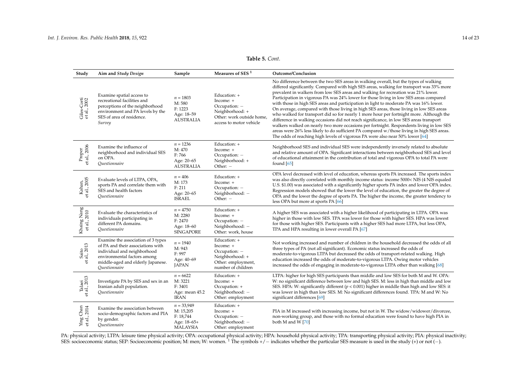# **Table 5.** *Cont.*

| Study                                 | Aim and Study Design                                                                                                                                                                        | Sample                                                                   | Measures of SES $^{\rm 1}$                                                                                            | Outcome/Conclusion                                                                                                                                                                                                                                                                                                                                                                                                                                                                                                                                                                                                                                                                                                                                                                                                                                                                                                                                                                                                |
|---------------------------------------|---------------------------------------------------------------------------------------------------------------------------------------------------------------------------------------------|--------------------------------------------------------------------------|-----------------------------------------------------------------------------------------------------------------------|-------------------------------------------------------------------------------------------------------------------------------------------------------------------------------------------------------------------------------------------------------------------------------------------------------------------------------------------------------------------------------------------------------------------------------------------------------------------------------------------------------------------------------------------------------------------------------------------------------------------------------------------------------------------------------------------------------------------------------------------------------------------------------------------------------------------------------------------------------------------------------------------------------------------------------------------------------------------------------------------------------------------|
| Giles-Corti<br>et al., 2002           | Examine spatial access to<br>recreational facilities and<br>perceptions of the neighborhood<br>environment and PA levels by the<br>SES of area of residence.<br>Survey                      | $n = 1803$<br>M: 580<br>F: 1223<br>Age: 18-59<br><b>AUSTRALIA</b>        | Education: +<br>Income: +<br>Occupation: -<br>Neighborhood: +<br>Other: work outside home.<br>access to motor vehicle | No difference between the two SES areas in walking overall, but the types of walking<br>differed significantly. Compared with high SES areas, walking for transport was 33% more<br>prevalent in walkers from low SES areas and walking for recreation was 21% lower.<br>Participation in vigorous PA was 24% lower for those living in low SES areas compared<br>with those in high SES areas and participation in light to moderate PA was 16% lower.<br>On average, compared with those living in high SES areas, those living in low SES areas<br>who walked for transport did so for nearly 1 more hour per fortnight more. Although the<br>difference in walking occasions did not reach significance, in low SES areas transport<br>walkers walked on nearly two more occasions per fortnight. Respondents living in low SES<br>areas were 26% less likely to do sufficient PA compared w/those living in high SES areas.<br>The odds of reaching high levels of vigorous PA were also near 50% lower [64] |
| Proper<br>et al., 2006                | Examine the influence of<br>neighborhood and individual SES<br>on OPA.<br>Questionnaire                                                                                                     | $n = 1236$<br>M: 470<br>F: 766<br>Age: 20-65<br><b>AUSTRALIA</b>         | Education: +<br>Income: +<br>Occupation: -<br>Neighborhood: +<br>Other: -                                             | Neighborhood SES and individual SES were independently inversely related to absolute<br>and relative amount of OPA. Significant interactions between neighborhood SES and level<br>of educational attainment in the contribution of total and vigorous OPA to total PA were<br>found $[65]$                                                                                                                                                                                                                                                                                                                                                                                                                                                                                                                                                                                                                                                                                                                       |
| Kahan,<br>et al., 2005                | Evaluate levels of LTPA, OPA,<br>sports PA and correlate them with<br>SES and health factors<br>Ouestionnaire                                                                               | $n = 406$<br>M: 173<br>F: 211<br>Age: 20-65<br><b>ISRAEL</b>             | Education: +<br>Income: +<br>Occupation: -<br>Neighborhood: -<br>Other: -                                             | OPA level decreased with level of education, whereas sports PA increased. The sports index<br>was also directly correlated with monthly income status: income 5000< NIS (4 NIS equaled<br>U.S. \$1.00) was associated with a significantly higher sports PA index and lower OPA index.<br>Regression models showed that the lower the level of education, the greater the degree of<br>OPA and the lower the degree of sports PA. The higher the income, the greater tendency to<br>less OPA but more at sports PA [66]                                                                                                                                                                                                                                                                                                                                                                                                                                                                                           |
| Khaing Nang<br>et al., 2010           | Evaluate the characteristics of<br>individuals participating in<br>different PA domains.<br>Questionnaire                                                                                   | $n = 4750$<br>M: 2280<br>F: 2470<br>Age: 18-60<br><b>SINGAPORE</b>       | Education: +<br>Income: +<br>Occupation: -<br>Neighborhood: -<br>Other: work, house                                   | A higher SES was associated with a higher likelihood of participating in LTPA. OPA was<br>higher in those with low SES. TPA was lower for those with higher SES. HPA was lowest<br>for those with higher SES. Participants with a higher SES had more LTPA, but less OPA,<br>TPA and HPA resulting in lower overall PA [67]                                                                                                                                                                                                                                                                                                                                                                                                                                                                                                                                                                                                                                                                                       |
| Saito<br>al., 2013<br>$\ddot{\sigma}$ | Examine the association of 3 types<br>of PA and their associations with<br>individual and neighborhood<br>environmental factors among<br>middle-aged and elderly Japanese.<br>Questionnaire | $n=1940$<br>M: 943<br>F: 997<br>Age: 40-69<br><b>JAPAN</b>               | Education: +<br>Income: +<br>Occupation: -<br>Neighborhood: +<br>Other: employment,<br>number of children             | Not working increased and number of children in the household decreased the odds of all<br>three types of PA (not all significant). Economic status increased the odds of<br>moderate-to-vigorous LTPA but decreased the odds of transport-related walking. High<br>education increased the odds of moderate-to-vigorous LTPA. Owing motor vehicles<br>increased the odds of engaging in moderate-to-vigorous LTPA other than walking [68]                                                                                                                                                                                                                                                                                                                                                                                                                                                                                                                                                                        |
| Talaei<br>et al., 2013                | Investigate PA by SES and sex in an<br>Iranian adult population.<br>Questionnaire                                                                                                           | $n = 6622$<br>M: 3221<br>F: 3401<br>Age: mean 45.2<br><b>IRAN</b>        | Education: +<br>Income: +<br>Occupation: +<br>Neighborhood: -<br>Other: employment                                    | LTPA: higher for high SES participants than middle and low SES for both M and W. OPA:<br>W: no significant difference between low and high SES. M: less in high than middle and low<br>SES. HPA: W: significantly different ( $p < 0.001$ ) higher in middle than high and low SES: it<br>was lower in high than low SES. M: No significant differences found. TPA: M and W: No<br>significant differences [69]                                                                                                                                                                                                                                                                                                                                                                                                                                                                                                                                                                                                   |
| et al., 2014<br>Chan<br>Ying          | Examine the association between<br>socio-demographic factors and PIA<br>by gender.<br><i><u><b>Ouestionnaire</b></u></i>                                                                    | $n = 33,949$<br>M: 15,205<br>F: 18,744<br>Age: 18-65+<br><b>MALAYSIA</b> | Education: +<br>Income: +<br>Occupation: -<br>Neighborhood: -<br>Other: employment                                    | PIA in M increased with increasing income, but not in W. The widow/widower/divorcee,<br>non-working group, and those with no formal education were found to have high PIA in<br>both M and W [70]                                                                                                                                                                                                                                                                                                                                                                                                                                                                                                                                                                                                                                                                                                                                                                                                                 |

<span id="page-13-0"></span>PA: physical activity; LTPA: leisure time physical activity; OPA: occupational physical activity; HPA: household physical activity; TPA: transporting physical activity; PIA: physical inactivity; SES: socioeconomic status; SEP: Socioeconomic position; M: men; W: women. <sup>1</sup> The symbols +/ − indicates whether the particular SES measure is used in the study (+) or not (−).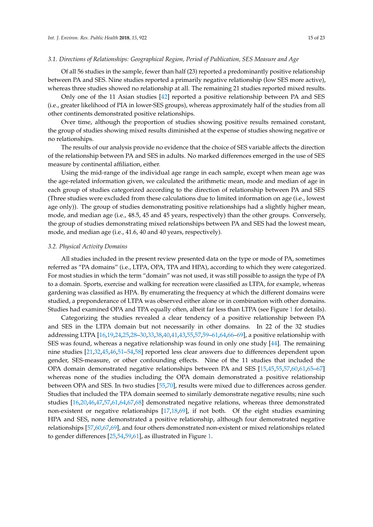### *3.1. Directions of Relationships: Geographical Region, Period of Publication, SES Measure and Age*

Of all 56 studies in the sample, fewer than half (23) reported a predominantly positive relationship between PA and SES. Nine studies reported a primarily negative relationship (low SES more active), whereas three studies showed no relationship at all. The remaining 21 studies reported mixed results.

Only one of the 11 Asian studies [\[42\]](#page-20-21) reported a positive relationship between PA and SES (i.e., greater likelihood of PIA in lower-SES groups), whereas approximately half of the studies from all other continents demonstrated positive relationships.

Over time, although the proportion of studies showing positive results remained constant, the group of studies showing mixed results diminished at the expense of studies showing negative or no relationships.

The results of our analysis provide no evidence that the choice of SES variable affects the direction of the relationship between PA and SES in adults. No marked differences emerged in the use of SES measure by continental affiliation, either.

Using the mid-range of the individual age range in each sample, except when mean age was the age-related information given, we calculated the arithmetic mean, mode and median of age in each group of studies categorized according to the direction of relationship between PA and SES (Three studies were excluded from these calculations due to limited information on age (i.e., lowest age only)). The group of studies demonstrating positive relationships had a slightly higher mean, mode, and median age (i.e., 48.5, 45 and 45 years, respectively) than the other groups. Conversely, the group of studies demonstrating mixed relationships between PA and SES had the lowest mean, mode, and median age (i.e., 41.6, 40 and 40 years, respectively).

### *3.2. Physical Activity Domains*

All studies included in the present review presented data on the type or mode of PA, sometimes referred as "PA domains" (i.e., LTPA, OPA, TPA and HPA), according to which they were categorized. For most studies in which the term "domain" was not used, it was still possible to assign the type of PA to a domain. Sports, exercise and walking for recreation were classified as LTPA, for example, whereas gardening was classified as HPA. By enumerating the frequency at which the different domains were studied, a preponderance of LTPA was observed either alone or in combination with other domains. Studies had examined OPA and TPA equally often, albeit far less than LTPA (see Figure [1](#page-15-0) for details).

Categorizing the studies revealed a clear tendency of a positive relationship between PA and SES in the LTPA domain but not necessarily in other domains. In 22 of the 32 studies addressing LTPA [\[16,](#page-19-0)[19,](#page-19-3)[24](#page-19-25)[,25](#page-19-26)[,28–](#page-19-27)[30](#page-19-28)[,33](#page-19-29)[,38](#page-20-22)[,40](#page-20-23)[,41](#page-20-24)[,43](#page-20-25)[,55](#page-20-26)[,57](#page-21-15)[,59](#page-21-16)[–61](#page-21-17)[,64](#page-21-18)[,66](#page-21-19)[–69\]](#page-21-20), a positive relationship with SES was found, whereas a negative relationship was found in only one study [\[44\]](#page-20-16). The remaining nine studies [\[21,](#page-19-5)[32,](#page-19-30)[45,](#page-20-27)[46](#page-20-28)[,51–](#page-20-29)[54](#page-20-30)[,58\]](#page-21-21) reported less clear answers due to differences dependent upon gender, SES-measure, or other confounding effects. Nine of the 11 studies that included the OPA domain demonstrated negative relationships between PA and SES [\[15](#page-18-14)[,45](#page-20-27)[,55](#page-20-26)[,57](#page-21-15)[,60](#page-21-22)[,61](#page-21-17)[,65](#page-21-23)[–67\]](#page-21-24) whereas none of the studies including the OPA domain demonstrated a positive relationship between OPA and SES. In two studies [\[55](#page-20-26)[,70\]](#page-21-25), results were mixed due to differences across gender. Studies that included the TPA domain seemed to similarly demonstrate negative results; nine such studies [\[16,](#page-19-0)[20](#page-19-4)[,46,](#page-20-28)[47](#page-20-31)[,57,](#page-21-15)[61](#page-21-17)[,64,](#page-21-18)[67](#page-21-24)[,68\]](#page-21-26) demonstrated negative relations, whereas three demonstrated non-existent or negative relationships [\[17,](#page-19-1)[18](#page-19-2)[,69\]](#page-21-20), if not both. Of the eight studies examining HPA and SES, none demonstrated a positive relationship, although four demonstrated negative relationships [\[57](#page-21-15)[,60](#page-21-22)[,67,](#page-21-24)[69\]](#page-21-20), and four others demonstrated non-existent or mixed relationships related to gender differences [\[25](#page-19-26)[,54](#page-20-30)[,59,](#page-21-16)[61\]](#page-21-17), as illustrated in Figure [1.](#page-15-0)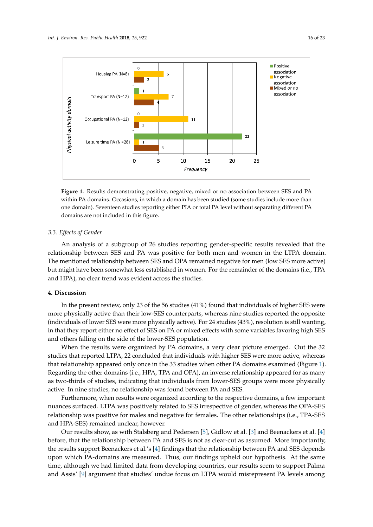<span id="page-15-0"></span>

**Figure 1.** Results demonstrating positive, negative, mixed or no association between SES and PA **Figure 1.** Results demonstrating positive, negative, mixed or no association between SES and PA within PA domains. Occasions, in which a domain has been studied (some studies include more than within PA domains. Occasions, in which a domain has been studied (some studies include more than one domain). Seventeen studies reporting either PIA or total PA level without separating different one domain). Seventeen studies reporting either PIA or total PA level without separating different PA domains are not included in this figure.

### $\sigma$  and  $\sigma$  subsets reporting generalize reporting generalize reporting  $\sigma$ *3.3. Effects of Gender*

An analysis of a subgroup of 26 studies reporting gender-specific results revealed that the relationship between SES and PA was positive for both men and women in the LTPA domain. The mentioned relationship between SES and OPA remained negative for men (low SES more active) but might have been somewhat less established in women. For the remainder of the domains (i.e., TPA and HPA), no clear trend was evident across the studies.

#### $\mathbf{S}$  studies (41%) found that individuals (41%) found that individuals of higher SES were SES were SES were SES were SES were SES were SES were set of higher SES were set of higher SES were set of higher SES were set **4. Discussion**

In the present review, only 23 of the 56 studies (41%) found that individuals of higher SES were more physically active than their low-SES counterparts, whereas nine studies reported the opposite (individuals of lower SES were more physically active). For 24 studies (43%), resolution is still wanting, in that they report either no effect of SES on PA or mixed effects with some variables favoring high SES and others falling on the side of the lower-SES population.

When the results were organized by PA domains, a very clear picture emerged. Out the 32 (Figure 1). Regarding the other domains (i.e., HPA, TPA and OPA), an inverse relationship appeared studies that reported LTPA, 22 concluded that individuals with higher SES were more active, whereas<br>studies that reported LTPA, 22 concluded that individuals with higher SES were more active, whereas that relationship appeared only once in the 33 studies when other PA domains examined (Figure [1\)](#page-15-0). Regarding the other domains (i.e., HPA, TPA and OPA), an inverse relationship appeared for as many as two-thirds of studies, indicating that individuals from lower-SES groups were more physically active. In nine studies, no relationship was found between PA and SES.

Furthermore, when results were organized according to the respective domains, a few important nuances surfaced. LTPA was positively related to SES irrespective of gender, whereas the OPA-SES relationship was positive for males and negative for females. The other relationships (i.e., TPA-SES and HPA-SES) remained unclear, however.

 $Q$ up moulte charupon with Stalchaus and Bodoman [5]. Gidlaupothel,  $[2]$  and Boomagistus. At the same time,  $\alpha$ Our results show, as with Stalsberg and Pedersen [\[5\]](#page-18-4), Gidlow et al. [\[3\]](#page-18-2) and Beenackers et al. [\[4\]](#page-18-3)<br>این منابه است که است که است که است که است که است که است که است که است که است که است که است که است که است که اس before, that the relationship between PA and SES is not as clear-cut as assumed. More importantly, the results support Beenackers et al.'s [\[4\]](#page-18-3) findings that the relationship between PA and SES depends upon which PA-domains are measured. Thus, our findings upheld our hypothesis. At the same time, although we had limited data from developing countries, our results seem to support Palma and Assis' [\[9\]](#page-18-8) argument that studies' undue focus on LTPA would misrepresent PA levels among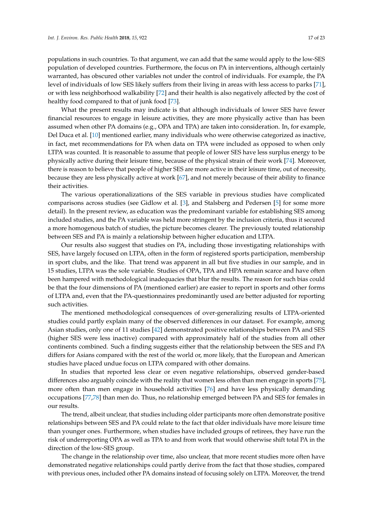populations in such countries. To that argument, we can add that the same would apply to the low-SES population of developed countries. Furthermore, the focus on PA in interventions, although certainly warranted, has obscured other variables not under the control of individuals. For example, the PA level of individuals of low SES likely suffers from their living in areas with less access to parks [\[71\]](#page-21-27), or with less neighborhood walkability [\[72\]](#page-21-28) and their health is also negatively affected by the cost of healthy food compared to that of junk food [\[73\]](#page-21-29).

What the present results may indicate is that although individuals of lower SES have fewer financial resources to engage in leisure activities, they are more physically active than has been assumed when other PA domains (e.g., OPA and TPA) are taken into consideration. In, for example, Del Duca et al. [\[10\]](#page-18-9) mentioned earlier, many individuals who were otherwise categorized as inactive, in fact, met recommendations for PA when data on TPA were included as opposed to when only LTPA was counted. It is reasonable to assume that people of lower SES have less surplus energy to be physically active during their leisure time, because of the physical strain of their work [\[74\]](#page-21-30). Moreover, there is reason to believe that people of higher SES are more active in their leisure time, out of necessity, because they are less physically active at work [\[67\]](#page-21-24), and not merely because of their ability to finance their activities.

The various operationalizations of the SES variable in previous studies have complicated comparisons across studies (see Gidlow et al. [\[3\]](#page-18-2), and Stalsberg and Pedersen [\[5\]](#page-18-4) for some more detail). In the present review, as education was the predominant variable for establishing SES among included studies, and the PA variable was held more stringent by the inclusion criteria, thus it secured a more homogenous batch of studies, the picture becomes clearer. The previously touted relationship between SES and PA is mainly a relationship between higher education and LTPA.

Our results also suggest that studies on PA, including those investigating relationships with SES, have largely focused on LTPA, often in the form of registered sports participation, membership in sport clubs, and the like. That trend was apparent in all but five studies in our sample, and in 15 studies, LTPA was the sole variable. Studies of OPA, TPA and HPA remain scarce and have often been hampered with methodological inadequacies that blur the results. The reason for such bias could be that the four dimensions of PA (mentioned earlier) are easier to report in sports and other forms of LTPA and, even that the PA-questionnaires predominantly used are better adjusted for reporting such activities.

The mentioned methodological consequences of over-generalizing results of LTPA-oriented studies could partly explain many of the observed differences in our dataset. For example, among Asian studies, only one of 11 studies [\[42\]](#page-20-21) demonstrated positive relationships between PA and SES (higher SES were less inactive) compared with approximately half of the studies from all other continents combined. Such a finding suggests either that the relationship between the SES and PA differs for Asians compared with the rest of the world or, more likely, that the European and American studies have placed undue focus on LTPA compared with other domains.

In studies that reported less clear or even negative relationships, observed gender-based differences also arguably coincide with the reality that women less often than men engage in sports [\[75\]](#page-22-0), more often than men engage in household activities [\[76\]](#page-22-1) and have less physically demanding occupations [\[77](#page-22-2)[,78\]](#page-22-3) than men do. Thus, no relationship emerged between PA and SES for females in our results.

The trend, albeit unclear, that studies including older participants more often demonstrate positive relationships between SES and PA could relate to the fact that older individuals have more leisure time than younger ones. Furthermore, when studies have included groups of retirees, they have run the risk of underreporting OPA as well as TPA to and from work that would otherwise shift total PA in the direction of the low-SES group.

The change in the relationship over time, also unclear, that more recent studies more often have demonstrated negative relationships could partly derive from the fact that those studies, compared with previous ones, included other PA domains instead of focusing solely on LTPA. Moreover, the trend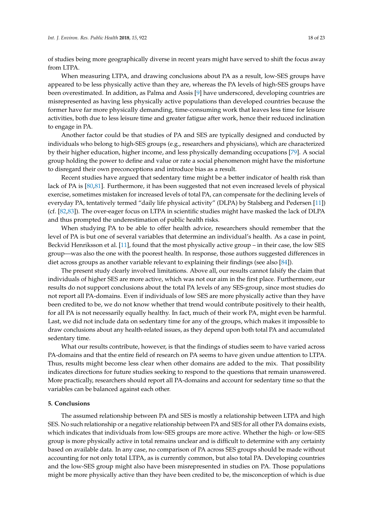of studies being more geographically diverse in recent years might have served to shift the focus away from LTPA.

When measuring LTPA, and drawing conclusions about PA as a result, low-SES groups have appeared to be less physically active than they are, whereas the PA levels of high-SES groups have been overestimated. In addition, as Palma and Assis [\[9\]](#page-18-8) have underscored, developing countries are misrepresented as having less physically active populations than developed countries because the former have far more physically demanding, time-consuming work that leaves less time for leisure activities, both due to less leisure time and greater fatigue after work, hence their reduced inclination to engage in PA.

Another factor could be that studies of PA and SES are typically designed and conducted by individuals who belong to high-SES groups (e.g., researchers and physicians), which are characterized by their higher education, higher income, and less physically demanding occupations [\[79\]](#page-22-4). A social group holding the power to define and value or rate a social phenomenon might have the misfortune to disregard their own preconceptions and introduce bias as a result.

Recent studies have argued that sedentary time might be a better indicator of health risk than lack of PA is [\[80,](#page-22-5)[81\]](#page-22-6). Furthermore, it has been suggested that not even increased levels of physical exercise, sometimes mistaken for increased levels of total PA, can compensate for the declining levels of everyday PA, tentatively termed "daily life physical activity" (DLPA) by Stalsberg and Pedersen [\[11\]](#page-18-10)) (cf. [\[82,](#page-22-7)[83\]](#page-22-8)). The over-eager focus on LTPA in scientific studies might have masked the lack of DLPA and thus prompted the underestimation of public health risks.

When studying PA to be able to offer health advice, researchers should remember that the level of PA is but one of several variables that determine an individual's health. As a case in point, Beckvid Henriksson et al. [\[11\]](#page-18-10), found that the most physically active group – in their case, the low SES group—was also the one with the poorest health. In response, those authors suggested differences in diet across groups as another variable relevant to explaining their findings (see also [\[84\]](#page-22-9)).

The present study clearly involved limitations. Above all, our results cannot falsify the claim that individuals of higher SES are more active, which was not our aim in the first place. Furthermore, our results do not support conclusions about the total PA levels of any SES-group, since most studies do not report all PA-domains. Even if individuals of low SES are more physically active than they have been credited to be, we do not know whether that trend would contribute positively to their health, for all PA is not necessarily equally healthy. In fact, much of their work PA, might even be harmful. Last, we did not include data on sedentary time for any of the groups, which makes it impossible to draw conclusions about any health-related issues, as they depend upon both total PA and accumulated sedentary time.

What our results contribute, however, is that the findings of studies seem to have varied across PA-domains and that the entire field of research on PA seems to have given undue attention to LTPA. Thus, results might become less clear when other domains are added to the mix. That possibility indicates directions for future studies seeking to respond to the questions that remain unanswered. More practically, researchers should report all PA-domains and account for sedentary time so that the variables can be balanced against each other.

### **5. Conclusions**

The assumed relationship between PA and SES is mostly a relationship between LTPA and high SES. No such relationship or a negative relationship between PA and SES for all other PA domains exists, which indicates that individuals from low-SES groups are more active. Whether the high- or low-SES group is more physically active in total remains unclear and is difficult to determine with any certainty based on available data. In any case, no comparison of PA across SES groups should be made without accounting for not only total LTPA, as is currently common, but also total PA. Developing countries and the low-SES group might also have been misrepresented in studies on PA. Those populations might be more physically active than they have been credited to be, the misconception of which is due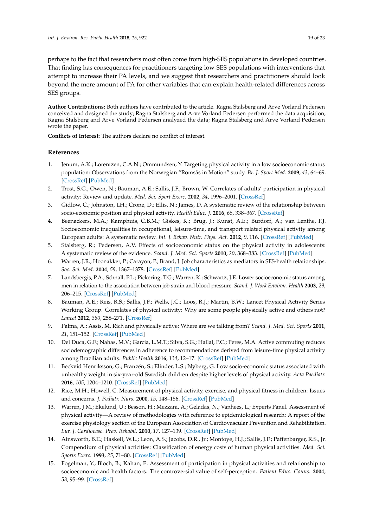perhaps to the fact that researchers most often come from high-SES populations in developed countries. That finding has consequences for practitioners targeting low-SES populations with interventions that attempt to increase their PA levels, and we suggest that researchers and practitioners should look beyond the mere amount of PA for other variables that can explain health-related differences across SES groups.

**Author Contributions:** Both authors have contributed to the article. Ragna Stalsberg and Arve Vorland Pedersen conceived and designed the study; Ragna Stalsberg and Arve Vorland Pedersen performed the data acquisition; Ragna Stalsberg and Arve Vorland Pedersen analyzed the data; Ragna Stalsberg and Arve Vorland Pedersen wrote the paper.

**Conflicts of Interest:** The authors declare no conflict of interest.

### **References**

- <span id="page-18-0"></span>1. Jenum, A.K.; Lorentzen, C.A.N.; Ommundsen, Y. Targeting physical activity in a low socioeconomic status population: Observations from the Norwegian "Romsås in Motion" study. *Br. J. Sport Med.* **2009**, *43*, 64–69. [\[CrossRef\]](http://dx.doi.org/10.1136/bjsm.2008.053637) [\[PubMed\]](http://www.ncbi.nlm.nih.gov/pubmed/18927170)
- <span id="page-18-1"></span>2. Trost, S.G.; Owen, N.; Bauman, A.E.; Sallis, J.F.; Brown, W. Correlates of adults' participation in physical activity: Review and update. *Med. Sci. Sport Exerc.* **2002**, *34*, 1996–2001. [\[CrossRef\]](http://dx.doi.org/10.1097/00005768-200212000-00020)
- <span id="page-18-2"></span>3. Gidlow, C.; Johnston, LH.; Crone, D.; Ellis, N.; James, D. A systematic review of the relationship between socio-economic position and physical activity. *Health Educ. J.* **2016**, *65*, 338–367. [\[CrossRef\]](http://dx.doi.org/10.1177/0017896906069378)
- <span id="page-18-3"></span>4. Beenackers, M.A.; Kamphuis, C.B.M.; Giskes, K.; Brug, J.; Kunst, A.E.; Burdorf, A.; van Lenthe, F.J. Socioeconomic inequalities in occupational, leisure-time, and transport related physical activity among European adults: A systematic review. *Int. J. Behav. Nutr. Phys. Act.* **2012**, *9*, 116. [\[CrossRef\]](http://dx.doi.org/10.1186/1479-5868-9-116) [\[PubMed\]](http://www.ncbi.nlm.nih.gov/pubmed/22992350)
- <span id="page-18-4"></span>5. Stalsberg, R.; Pedersen, A.V. Effects of socioeconomic status on the physical activity in adolescents: A systematic review of the evidence. *Scand. J. Med. Sci. Sports* **2010**, *20*, 368–383. [\[CrossRef\]](http://dx.doi.org/10.1111/j.1600-0838.2009.01047.x) [\[PubMed\]](http://www.ncbi.nlm.nih.gov/pubmed/20136763)
- <span id="page-18-5"></span>6. Warren, J.R.; Hoonakker, P.; Carayon, P.; Brand, J. Job characteristics as mediators in SES-health relationships. *Soc. Sci. Med.* **2004**, *59*, 1367–1378. [\[CrossRef\]](http://dx.doi.org/10.1016/j.socscimed.2004.01.035) [\[PubMed\]](http://www.ncbi.nlm.nih.gov/pubmed/15246167)
- <span id="page-18-6"></span>7. Landsbergis, P.A.; Schnall, P.L.; Pickering, T.G.; Warren, K.; Schwartz, J.E. Lower socioeconomic status among men in relation to the association between job strain and blood pressure. *Scand. J. Work Environ. Health* **2003**, *29*, 206–215. [\[CrossRef\]](http://dx.doi.org/10.5271/sjweh.723) [\[PubMed\]](http://www.ncbi.nlm.nih.gov/pubmed/12828390)
- <span id="page-18-15"></span><span id="page-18-7"></span>8. Bauman, A.E.; Reis, R.S.; Sallis, J.F.; Wells, J.C.; Loos, R.J.; Martin, B.W.; Lancet Physical Activity Series Working Group. Correlates of physical activity: Why are some people physically active and others not? *Lancet* **2012**, *380*, 258–271. [\[CrossRef\]](http://dx.doi.org/10.1016/S0140-6736(12)60735-1)
- <span id="page-18-8"></span>9. Palma, A.; Assis, M. Rich and physically active: Where are we talking from? *Scand. J. Med. Sci. Sports* **2011**, *21*, 151–152. [\[CrossRef\]](http://dx.doi.org/10.1111/j.1600-0838.2010.01225.x) [\[PubMed\]](http://www.ncbi.nlm.nih.gov/pubmed/21223379)
- <span id="page-18-9"></span>10. Del Duca, G.F.; Nahas, M.V.; Garcia, L.M.T.; Silva, S.G.; Hallal, P.C.; Peres, M.A. Active commuting reduces sociodemographic differences in adherence to recommendations derived from leisure-time physical activity among Brazilian adults. *Public Health* **2016**, *134*, 12–17. [\[CrossRef\]](http://dx.doi.org/10.1016/j.puhe.2016.01.016) [\[PubMed\]](http://www.ncbi.nlm.nih.gov/pubmed/26947312)
- <span id="page-18-10"></span>11. Beckvid Henriksson, G.; Franzén, S.; Elinder, L.S.; Nyberg, G. Low socio-economic status associated with unhealthy weight in six-year-old Swedish children despite higher levels of physical activity. *Acta Paediatr.* **2016**, *105*, 1204–1210. [\[CrossRef\]](http://dx.doi.org/10.1111/apa.13412) [\[PubMed\]](http://www.ncbi.nlm.nih.gov/pubmed/27008097)
- <span id="page-18-11"></span>12. Rice, M.H.; Howell, C. Measurement of physical activity, exercise, and physical fitness in children: Issues and concerns. *J. Pediatr. Nurs.* **2000**, *15*, 148–156. [\[CrossRef\]](http://dx.doi.org/10.1053/jn.2000.6019) [\[PubMed\]](http://www.ncbi.nlm.nih.gov/pubmed/10897552)
- <span id="page-18-12"></span>13. Warren, J.M.; Ekelund, U.; Besson, H.; Mezzani, A.; Geladas, N.; Vanhees, L.; Experts Panel. Assessment of physical activity—A review of methodologies with reference to epidemiological research: A report of the exercise physiology section of the European Association of Cardiovascular Prevention and Rehabilitation. *Eur. J. Cardiovasc. Prev. Rehabil.* **2010**, *17*, 127–139. [\[CrossRef\]](http://dx.doi.org/10.1097/HJR.0b013e32832ed875) [\[PubMed\]](http://www.ncbi.nlm.nih.gov/pubmed/20215971)
- <span id="page-18-13"></span>14. Ainsworth, B.E.; Haskell, W.L.; Leon, A.S.; Jacobs, D.R., Jr.; Montoye, H.J.; Sallis, J.F.; Paffenbarger, R.S., Jr. Compendium of physical acticities: Classification of energy costs of human physical activities. *Med. Sci. Sports Exerc.* **1993**, *25*, 71–80. [\[CrossRef\]](http://dx.doi.org/10.1249/00005768-199301000-00011) [\[PubMed\]](http://www.ncbi.nlm.nih.gov/pubmed/8292105)
- <span id="page-18-14"></span>15. Fogelman, Y.; Bloch, B.; Kahan, E. Assessment of participation in physical activities and relationship to socioeconomic and health factors. The controversial value of self-perception. *Patient Educ. Couns.* **2004**, *53*, 95–99. [\[CrossRef\]](http://dx.doi.org/10.1016/S0738-3991(03)00119-8)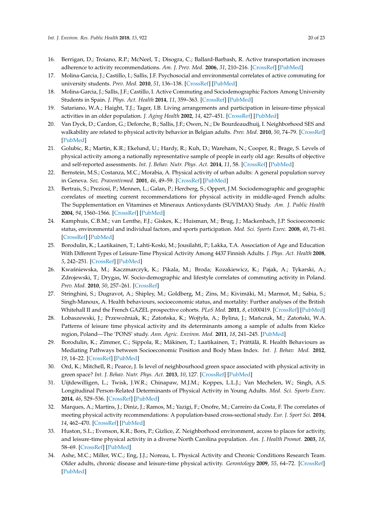- <span id="page-19-24"></span><span id="page-19-23"></span><span id="page-19-22"></span><span id="page-19-21"></span><span id="page-19-20"></span><span id="page-19-17"></span><span id="page-19-8"></span><span id="page-19-7"></span><span id="page-19-6"></span><span id="page-19-0"></span>16. Berrigan, D.; Troiano, R.P.; McNeel, T.; Disogra, C.; Ballard-Barbash, R. Active transportation increases adherence to activity recommendations. *Am. J. Prev. Med.* **2006**, *31*, 210–216. [\[CrossRef\]](http://dx.doi.org/10.1016/j.amepre.2006.04.007) [\[PubMed\]](http://www.ncbi.nlm.nih.gov/pubmed/16905031)
- <span id="page-19-1"></span>17. Molina-Garcia, J.; Castillo, I.; Sallis, J.F. Psychosocial and environmental correlates of active commuting for university students. *Prev. Med.* **2010**, *51*, 136–138. [\[CrossRef\]](http://dx.doi.org/10.1016/j.ypmed.2010.05.009) [\[PubMed\]](http://www.ncbi.nlm.nih.gov/pubmed/20510271)
- <span id="page-19-9"></span><span id="page-19-2"></span>18. Molina-Garcia, J.; Sallis, J.F.; Castillo, I. Active Commuting and Sociodemographic Factors Among University Students in Spain. *J. Phys. Act. Health* **2014**, *11*, 359–363. [\[CrossRef\]](http://dx.doi.org/10.1123/jpah.2012-0004) [\[PubMed\]](http://www.ncbi.nlm.nih.gov/pubmed/23359296)
- <span id="page-19-10"></span><span id="page-19-3"></span>19. Satariano, W.A.; Haight, T.J.; Tager, I.B. Living arrangements and participation in leisure-time physical activities in an older population. *J. Aging Health* **2002**, *14*, 427–451. [\[CrossRef\]](http://dx.doi.org/10.1177/089826402237177) [\[PubMed\]](http://www.ncbi.nlm.nih.gov/pubmed/12391994)
- <span id="page-19-11"></span><span id="page-19-4"></span>20. Van Dyck, D.; Cardon, G.; Deforche, B.; Sallis, J.F.; Owen, N.; De Bourdeaudhuij, I. Neighborhood SES and walkability are related to physical activity behavior in Belgian adults. *Prev. Med.* **2010**, *50*, 74–79. [\[CrossRef\]](http://dx.doi.org/10.1016/j.ypmed.2009.07.027) [\[PubMed\]](http://www.ncbi.nlm.nih.gov/pubmed/19751757)
- <span id="page-19-12"></span><span id="page-19-5"></span>21. Golubic, R.; Martin, K.R.; Ekelund, U.; Hardy, R.; Kuh, D.; Wareham, N.; Cooper, R.; Brage, S. Levels of physical activity among a nationally representative sample of people in early old age: Results of objective and self-reported assessments. *Int. J. Behav. Nutr. Phys. Act.* **2014**, *11*, 58. [\[CrossRef\]](http://dx.doi.org/10.1186/1479-5868-11-58) [\[PubMed\]](http://www.ncbi.nlm.nih.gov/pubmed/24885497)
- 22. Bernstein, M.S.; Costanza, M.C.; Morabia, A. Physical activity of urban adults: A general population survey in Geneva. *Soz. Praventivmed.* **2001**, *46*, 49–59. [\[CrossRef\]](http://dx.doi.org/10.1007/BF01318798) [\[PubMed\]](http://www.ncbi.nlm.nih.gov/pubmed/11320913)
- <span id="page-19-13"></span>23. Bertrais, S.; Preziosi, P.; Mennen, L.; Galan, P.; Hercberg, S.; Oppert, J.M. Sociodemographic and geographic correlates of meeting current recommendations for physical activity in middle-aged French adults: The Supplementation en Vitamines et Mineraux Antioxydants (SUVIMAX) Study. *Am. J. Public Health* **2004**, *94*, 1560–1566. [\[CrossRef\]](http://dx.doi.org/10.2105/AJPH.94.9.1560) [\[PubMed\]](http://www.ncbi.nlm.nih.gov/pubmed/15333315)
- <span id="page-19-25"></span><span id="page-19-15"></span><span id="page-19-14"></span>24. Kamphuis, C.B.M.; van Lenthe, F.J.; Giskes, K.; Huisman, M.; Brug, J.; Mackenbach, J.P. Socioeconomic status, environmental and individual factors, and sports participation. *Med. Sci. Sports Exerc.* **2008**, *40*, 71–81. [\[CrossRef\]](http://dx.doi.org/10.1249/mss.0b013e318158e467) [\[PubMed\]](http://www.ncbi.nlm.nih.gov/pubmed/18182936)
- <span id="page-19-26"></span><span id="page-19-16"></span>25. Borodulin, K.; Laatikainen, T.; Lahti-Koski, M.; Jousilahti, P.; Lakka, T.A. Association of Age and Education With Different Types of Leisure-Time Physical Activity Among 4437 Finnish Adults. *J. Phys. Act. Health* **2008**, *5*, 242–251. [\[CrossRef\]](http://dx.doi.org/10.1123/jpah.5.2.242) [\[PubMed\]](http://www.ncbi.nlm.nih.gov/pubmed/18382033)
- <span id="page-19-18"></span>26. Kwaśniewska, M.; Kaczmarczyk, K.; Pikala, M.; Broda; Kozakiewicz, K.; Pajak, A.; Tykarski, A.; Zdrojewski, T.; Drygas, W. Socio-demographic and lifestyle correlates of commuting activity in Poland. *Prev. Med.* **2010**, *50*, 257–261. [\[CrossRef\]](http://dx.doi.org/10.1016/j.ypmed.2010.02.011)
- <span id="page-19-19"></span>27. Stringhini, S.; Dugravot, A.; Shipley, M.; Goldberg, M.; Zins, M.; Kivimäki, M.; Marmot, M.; Sabia, S.; Singh-Manoux, A. Health behaviours, socioeconomic status, and mortality: Further analyses of the British Whitehall II and the French GAZEL prospective cohorts. *PLoS Med.* **2011**, *8*, e1000419. [\[CrossRef\]](http://dx.doi.org/10.1371/journal.pmed.1000419) [\[PubMed\]](http://www.ncbi.nlm.nih.gov/pubmed/21364974)
- <span id="page-19-27"></span>28. Łobaszewski, J.; Przewožniak, K.; Zatońska, K.; Wojtyła, A.; Bylina, J.; Mańczuk, M.; Zatoński, W.A. Patterns of leisure time physical activity and its determinants among a sample of adults from Kielce region, Poland—The 'PONS' study. *Ann. Agric. Environ. Med.* **2011**, *18*, 241–245. [\[PubMed\]](http://www.ncbi.nlm.nih.gov/pubmed/22216789)
- 29. Borodulin, K.; Zimmer, C.; Sippola, R.; Mäkinen, T.; Laatikainen, T.; Prättälä, R. Health Behaviours as Mediating Pathways between Socioeconomic Position and Body Mass Index. *Int. J. Behav. Med.* **2012**, *19*, 14–22. [\[CrossRef\]](http://dx.doi.org/10.1007/s12529-010-9138-1) [\[PubMed\]](http://www.ncbi.nlm.nih.gov/pubmed/21184210)
- <span id="page-19-28"></span>30. Ord, K.; Mitchell, R.; Pearce, J. Is level of neighbourhood green space associated with physical activity in green space? *Int. J. Behav. Nutr. Phys. Act.* **2013**, *10*, 127. [\[CrossRef\]](http://dx.doi.org/10.1186/1479-5868-10-127) [\[PubMed\]](http://www.ncbi.nlm.nih.gov/pubmed/24219824)
- 31. Uijtdewilligen, L.; Twisk, J.W.R.; Chinapaw, M.J.M.; Koppes, L.L.J.; Van Mechelen, W.; Singh, A.S. Longitudinal Person-Related Determinants of Physical Activity in Young Adults. *Med. Sci. Sports Exerc.* **2014**, *46*, 529–536. [\[CrossRef\]](http://dx.doi.org/10.1249/MSS.0000000000000126) [\[PubMed\]](http://www.ncbi.nlm.nih.gov/pubmed/24042310)
- <span id="page-19-30"></span>32. Marques, A.; Martins, J.; Diniz, J.; Ramos, M.; Yazigi, F.; Onofre, M.; Carreiro da Costa, F. The correlates of meeting physical activity recommendations: A population-based cross-sectional study. *Eur. J. Sport Sci.* **2014**, *14*, 462–470. [\[CrossRef\]](http://dx.doi.org/10.1080/17461391.2012.713008) [\[PubMed\]](http://www.ncbi.nlm.nih.gov/pubmed/24175729)
- <span id="page-19-29"></span>33. Huston, S.L.; Evenson, K.R.; Bors, P.; Gizlice, Z. Neighborhood environment, access to places for activity, and leisure-time physical activity in a diverse North Carolina population. *Am. J. Health Promot.* **2003**, *18*, 58–69. [\[CrossRef\]](http://dx.doi.org/10.4278/0890-1171-18.1.58) [\[PubMed\]](http://www.ncbi.nlm.nih.gov/pubmed/13677963)
- 34. Ashe, M.C.; Miller, W.C.; Eng, J.J.; Noreau, L. Physical Activity and Chronic Conditions Research Team. Older adults, chronic disease and leisure-time physical activity. *Gerontology* **2009**, *55*, 64–72. [\[CrossRef\]](http://dx.doi.org/10.1159/000141518) [\[PubMed\]](http://www.ncbi.nlm.nih.gov/pubmed/18566534)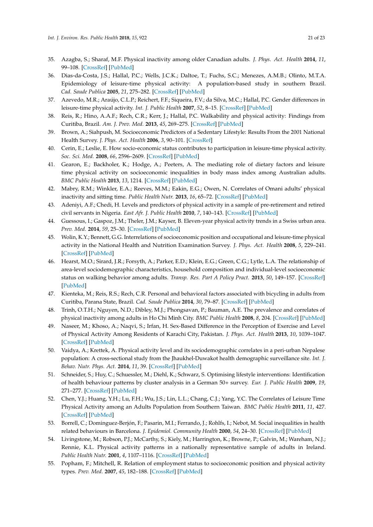- <span id="page-20-9"></span><span id="page-20-8"></span><span id="page-20-7"></span><span id="page-20-6"></span><span id="page-20-5"></span><span id="page-20-4"></span><span id="page-20-3"></span><span id="page-20-2"></span><span id="page-20-1"></span><span id="page-20-0"></span>35. Azagba, S.; Sharaf, M.F. Physical inactivity among older Canadian adults. *J. Phys. Act. Health* **2014**, *11*, 99–108. [\[CrossRef\]](http://dx.doi.org/10.1123/jpah.2011-0305) [\[PubMed\]](http://www.ncbi.nlm.nih.gov/pubmed/23249997)
- <span id="page-20-10"></span>36. Dias-da-Costa, J.S.; Hallal, P.C.; Wells, J.C.K.; Daltoe, T.; Fuchs, S.C.; Menezes, A.M.B.; Olinto, M.T.A. Epidemiology of leisure-time physical activity: A population-based study in southern Brazil. *Cad. Saude Publica* **2005**, *21*, 275–282. [\[CrossRef\]](http://dx.doi.org/10.1590/S0102-311X2005000100030) [\[PubMed\]](http://www.ncbi.nlm.nih.gov/pubmed/15692661)
- <span id="page-20-11"></span>37. Azevedo, M.R.; Araújo, C.L.P.; Reichert, F.F.; Siqueira, F.V.; da Silva, M.C.; Hallal, P.C. Gender differences in leisure-time physical activity. *Int. J. Public Health* **2007**, *52*, 8–15. [\[CrossRef\]](http://dx.doi.org/10.1007/s00038-006-5062-1) [\[PubMed\]](http://www.ncbi.nlm.nih.gov/pubmed/17966815)
- <span id="page-20-22"></span>38. Reis, R.; Hino, A.A.F.; Rech, C.R.; Kerr, J.; Hallal, P.C. Walkability and physical activity: Findings from Curitiba, Brazil. *Am. J. Prev. Med.* **2013**, *45*, 269–275. [\[CrossRef\]](http://dx.doi.org/10.1016/j.amepre.2013.04.020) [\[PubMed\]](http://www.ncbi.nlm.nih.gov/pubmed/23953352)
- <span id="page-20-12"></span>39. Brown, A.; Siahpush, M. Socioeconomic Predictors of a Sedentary Lifestyle: Results From the 2001 National Health Survey. *J. Phys. Act. Health* **2006**, *3*, 90–101. [\[CrossRef\]](http://dx.doi.org/10.1123/jpah.3.1.90)
- <span id="page-20-23"></span><span id="page-20-13"></span>40. Cerin, E.; Leslie, E. How socio-economic status contributes to participation in leisure-time physical activity. *Soc. Sci. Med.* **2008**, *66*, 2596–2609. [\[CrossRef\]](http://dx.doi.org/10.1016/j.socscimed.2008.02.012) [\[PubMed\]](http://www.ncbi.nlm.nih.gov/pubmed/18359137)
- <span id="page-20-24"></span><span id="page-20-14"></span>41. Gearon, E.; Backholer, K.; Hodge, A.; Peeters, A. The mediating role of dietary factors and leisure time physical activity on socioeconomic inequalities in body mass index among Australian adults. *BMC Public Health* **2013**, *13*, 1214. [\[CrossRef\]](http://dx.doi.org/10.1186/1471-2458-13-1214) [\[PubMed\]](http://www.ncbi.nlm.nih.gov/pubmed/24359490)
- <span id="page-20-21"></span><span id="page-20-15"></span>42. Mabry, R.M.; Winkler, E.A.; Reeves, M.M.; Eakin, E.G.; Owen, N. Correlates of Omani adults' physical inactivity and sitting time. *Public Health Nutr.* **2013**, *16*, 65–72. [\[CrossRef\]](http://dx.doi.org/10.1017/S1368980012002844) [\[PubMed\]](http://www.ncbi.nlm.nih.gov/pubmed/22626450)
- <span id="page-20-25"></span>43. Adeniyi, A.F.; Chedi, H. Levels and predictors of physical activity in a sample of pre-retirement and retired civil servants in Nigeria. *East Afr. J. Public Health* **2010**, *7*, 140–143. [\[CrossRef\]](http://dx.doi.org/10.4314/eajph.v7i2.64713) [\[PubMed\]](http://www.ncbi.nlm.nih.gov/pubmed/21413591)
- <span id="page-20-16"></span>44. Guessous, I.; Gaspoz, J.M.; Theler, J.M.; Kayser, B. Eleven-year physical activity trends in a Swiss urban area. *Prev. Med.* **2014**, *59*, 25–30. [\[CrossRef\]](http://dx.doi.org/10.1016/j.ypmed.2013.11.005) [\[PubMed\]](http://www.ncbi.nlm.nih.gov/pubmed/24252488)
- <span id="page-20-27"></span><span id="page-20-17"></span>45. Wolin, K.Y.; Bennett, G.G. Interrelations of socioeconomic position and occupational and leisure-time physical activity in the National Health and Nutrition Examination Survey. *J. Phys. Act. Health* **2008**, *5*, 229–241. [\[CrossRef\]](http://dx.doi.org/10.1123/jpah.5.2.229) [\[PubMed\]](http://www.ncbi.nlm.nih.gov/pubmed/18382032)
- <span id="page-20-28"></span><span id="page-20-18"></span>46. Hearst, M.O.; Sirard, J.R.; Forsyth, A.; Parker, E.D.; Klein, E.G.; Green, C.G.; Lytle, L.A. The relationship of area-level sociodemographic characteristics, household composition and individual-level socioeconomic status on walking behavior among adults. *Transp. Res. Part A Policy Pract.* **2013**, *50*, 149–157. [\[CrossRef\]](http://dx.doi.org/10.1016/j.tra.2013.01.006) [\[PubMed\]](http://www.ncbi.nlm.nih.gov/pubmed/23729994)
- <span id="page-20-31"></span><span id="page-20-19"></span>47. Kienteka, M.; Reis, R.S.; Rech, C.R. Personal and behavioral factors associated with bicycling in adults from Curitiba, Parana State, Brazil. *Cad. Saude Publica* **2014**, *30*, 79–87. [\[CrossRef\]](http://dx.doi.org/10.1590/0102-311X00041613) [\[PubMed\]](http://www.ncbi.nlm.nih.gov/pubmed/24627015)
- <span id="page-20-20"></span>48. Trinh, O.T.H.; Nguyen, N.D.; Dibley, M.J.; Phongsavan, P.; Bauman, A.E. The prevalence and correlates of physical inactivity among adults in Ho Chi Minh City. *BMC Public Health* **2008**, *8*, 204. [\[CrossRef\]](http://dx.doi.org/10.1186/1471-2458-8-204) [\[PubMed\]](http://www.ncbi.nlm.nih.gov/pubmed/18541020)
- 49. Naseer, M.; Khoso, A.; Naqvi, S.; Irfan, H. Sex-Based Difference in the Perception of Exercise and Level of Physical Activity Among Residents of Karachi City, Pakistan. *J. Phys. Act. Health* **2013**, *10*, 1039–1047. [\[CrossRef\]](http://dx.doi.org/10.1123/jpah.10.7.1039) [\[PubMed\]](http://www.ncbi.nlm.nih.gov/pubmed/23136384)
- 50. Vaidya, A.; Krettek, A. Physical activity level and its sociodemographic correlates in a peri-urban Nepalese population: A cross-sectional study from the Jhaukhel-Duwakot health demographic surveillance site. *Int. J. Behav. Nutr. Phys. Act.* **2014**, *11*, 39. [\[CrossRef\]](http://dx.doi.org/10.1186/1479-5868-11-39) [\[PubMed\]](http://www.ncbi.nlm.nih.gov/pubmed/24628997)
- <span id="page-20-29"></span>51. Schneider, S.; Huy, C.; Schuessler, M.; Diehl, K.; Schwarz, S. Optimising lifestyle interventions: Identification of health behaviour patterns by cluster analysis in a German 50+ survey. *Eur. J. Public Health* **2009**, *19*, 271–277. [\[CrossRef\]](http://dx.doi.org/10.1093/eurpub/ckn144) [\[PubMed\]](http://www.ncbi.nlm.nih.gov/pubmed/19164433)
- 52. Chen, Y.J.; Huang, Y.H.; Lu, F.H.; Wu, J.S.; Lin, L.L.; Chang, C.J.; Yang, Y.C. The Correlates of Leisure Time Physical Activity among an Adults Population from Southern Taiwan. *BMC Public Health* **2011**, *11*, 427. [\[CrossRef\]](http://dx.doi.org/10.1186/1471-2458-11-427) [\[PubMed\]](http://www.ncbi.nlm.nih.gov/pubmed/21639878)
- 53. Borrell, C.; Dominguez-Berjón, F.; Pasarin, M.I.; Ferrando, J.; Rohlfs, I.; Nebot, M. Social inequalities in health related behaviours in Barcelona. *J. Epidemiol. Community Health* **2000**, *54*, 24–30. [\[CrossRef\]](http://dx.doi.org/10.1136/jech.54.1.24) [\[PubMed\]](http://www.ncbi.nlm.nih.gov/pubmed/10692958)
- <span id="page-20-30"></span>54. Livingstone, M.; Robson, P.J.; McCarthy, S.; Kiely, M.; Harrington, K.; Browne, P.; Galvin, M.; Wareham, N.J.; Rennie, K.L. Physical activity patterns in a nationally representative sample of adults in Ireland. *Public Health Nutr.* **2001**, *4*, 1107–1116. [\[CrossRef\]](http://dx.doi.org/10.1079/PHN2001192) [\[PubMed\]](http://www.ncbi.nlm.nih.gov/pubmed/11820924)
- <span id="page-20-26"></span>55. Popham, F.; Mitchell, R. Relation of employment status to socioeconomic position and physical activity types. *Prev. Med.* **2007**, *45*, 182–188. [\[CrossRef\]](http://dx.doi.org/10.1016/j.ypmed.2007.06.012) [\[PubMed\]](http://www.ncbi.nlm.nih.gov/pubmed/17662379)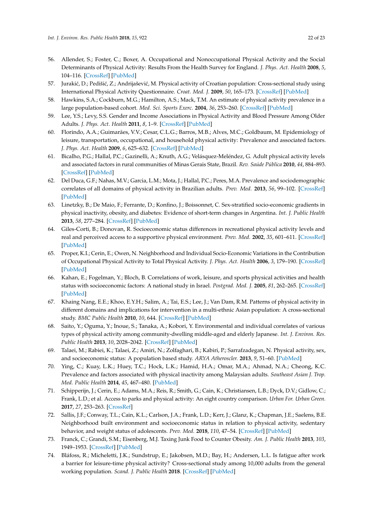- <span id="page-21-8"></span><span id="page-21-7"></span><span id="page-21-6"></span><span id="page-21-5"></span><span id="page-21-4"></span><span id="page-21-3"></span><span id="page-21-2"></span><span id="page-21-1"></span><span id="page-21-0"></span>56. Allender, S.; Foster, C.; Boxer, A. Occupational and Nonoccupational Physical Activity and the Social Determinants of Physical Activity: Results From the Health Survey for England. *J. Phys. Act. Health* **2008**, *5*, 104–116. [\[CrossRef\]](http://dx.doi.org/10.1123/jpah.5.1.104) [\[PubMed\]](http://www.ncbi.nlm.nih.gov/pubmed/18209257)
- <span id="page-21-15"></span>57. Jurakić, D.; Pedišić, Z.; Andrijašević, M. Physical activity of Croatian population: Cross-sectional study using International Physical Activity Questionnaire. *Croat. Med. J.* **2009**, *50*, 165–173. [\[CrossRef\]](http://dx.doi.org/10.3325/cmj.2009.50.165) [\[PubMed\]](http://www.ncbi.nlm.nih.gov/pubmed/19399950)
- <span id="page-21-21"></span><span id="page-21-9"></span>58. Hawkins, S.A.; Cockburn, M.G.; Hamilton, A.S.; Mack, T.M. An estimate of physical activity prevalence in a large population-based cohort. *Med. Sci. Sports Exerc.* **2004**, *36*, 253–260. [\[CrossRef\]](http://dx.doi.org/10.1249/01.MSS.0000113485.06374.0E) [\[PubMed\]](http://www.ncbi.nlm.nih.gov/pubmed/14767248)
- <span id="page-21-16"></span><span id="page-21-10"></span>59. Lee, Y.S.; Levy, S.S. Gender and Income Associations in Physical Activity and Blood Pressure Among Older Adults. *J. Phys. Act. Health* **2011**, *8*, 1–9. [\[CrossRef\]](http://dx.doi.org/10.1123/jpah.8.1.1) [\[PubMed\]](http://www.ncbi.nlm.nih.gov/pubmed/21297179)
- <span id="page-21-22"></span>60. Florindo, A.A.; Guimarães, V.V.; Cesar, C.L.G.; Barros, M.B.; Alves, M.C.; Goldbaum, M. Epidemiology of leisure, transportation, occupational, and household physical activity: Prevalence and associated factors. *J. Phys. Act. Health* **2009**, *6*, 625–632. [\[CrossRef\]](http://dx.doi.org/10.1123/jpah.6.5.625) [\[PubMed\]](http://www.ncbi.nlm.nih.gov/pubmed/19953839)
- <span id="page-21-17"></span><span id="page-21-11"></span>61. Bicalho, P.G.; Hallal, P.C.; Gazinelli, A.; Knuth, A.G.; Velásquez-Meléndez, G. Adult physical activity levels and associated factors in rural communities of Minas Gerais State, Brazil. *Rev. Saúde Pública* **2010**, *44*, 884–893. [\[CrossRef\]](http://dx.doi.org/10.1590/S0034-89102010005000023) [\[PubMed\]](http://www.ncbi.nlm.nih.gov/pubmed/20676590)
- <span id="page-21-13"></span><span id="page-21-12"></span>62. Del Duca, G.F.; Nahas, M.V.; Garcia, L.M.; Mota, J.; Hallal, P.C.; Peres, M.A. Prevalence and sociodemographic correlates of all domains of physical activity in Brazilian adults. *Prev. Med.* **2013**, *56*, 99–102. [\[CrossRef\]](http://dx.doi.org/10.1016/j.ypmed.2012.11.007) [\[PubMed\]](http://www.ncbi.nlm.nih.gov/pubmed/23200875)
- <span id="page-21-14"></span>63. Linetzky, B.; De Maio, F.; Ferrante, D.; Konfino, J.; Boissonnet, C. Sex-stratified socio-economic gradients in physical inactivity, obesity, and diabetes: Evidence of short-term changes in Argentina. *Int. J. Public Health* **2013**, *58*, 277–284. [\[CrossRef\]](http://dx.doi.org/10.1007/s00038-012-0371-z) [\[PubMed\]](http://www.ncbi.nlm.nih.gov/pubmed/22615030)
- <span id="page-21-18"></span>64. Giles-Corti, B.; Donovan, R. Socioeconomic status differences in recreational physical activity levels and real and perceived access to a supportive physical environment. *Prev. Med.* **2002**, *35*, 601–611. [\[CrossRef\]](http://dx.doi.org/10.1006/pmed.2002.1115) [\[PubMed\]](http://www.ncbi.nlm.nih.gov/pubmed/12460528)
- <span id="page-21-23"></span>65. Proper, K.I.; Cerin, E.; Owen, N. Neighborhood and Individual Socio-Economic Variations in the Contribution of Occupational Physical Activity to Total Physical Activity. *J. Phys. Act. Health* **2006**, *3*, 179–190. [\[CrossRef\]](http://dx.doi.org/10.1123/jpah.3.2.179) [\[PubMed\]](http://www.ncbi.nlm.nih.gov/pubmed/28834462)
- <span id="page-21-19"></span>66. Kahan, E.; Fogelman, Y.; Bloch, B. Correlations of work, leisure, and sports physical activities and health status with socioeconomic factors: A national study in Israel. *Postgrad. Med. J.* **2005**, *81*, 262–265. [\[CrossRef\]](http://dx.doi.org/10.1136/pgmj.2004.022293) [\[PubMed\]](http://www.ncbi.nlm.nih.gov/pubmed/15811893)
- <span id="page-21-24"></span>67. Khaing Nang, E.E.; Khoo, E.Y.H.; Salim, A.; Tai, E.S.; Lee, J.; Van Dam, R.M. Patterns of physical activity in different domains and implications for intervention in a multi-ethnic Asian population: A cross-sectional study. *BMC Public Health* **2010**, *10*, 644. [\[CrossRef\]](http://dx.doi.org/10.1186/1471-2458-10-644) [\[PubMed\]](http://www.ncbi.nlm.nih.gov/pubmed/20973981)
- <span id="page-21-26"></span>68. Saito, Y.; Oguma, Y.; Inoue, S.; Tanaka, A.; Kobori, Y. Environmental and individual correlates of various types of physical activity among community-dwelling middle-aged and elderly Japanese. *Int. J. Environ. Res. Public Health* **2013**, *10*, 2028–2042. [\[CrossRef\]](http://dx.doi.org/10.3390/ijerph10052028) [\[PubMed\]](http://www.ncbi.nlm.nih.gov/pubmed/23685828)
- <span id="page-21-20"></span>69. Talaei, M.; Rabiei, K.; Talaei, Z.; Amiri, N.; Zolfaghari, B.; Kabiri, P.; Sarrafzadegan, N. Physical activity, sex, and socioeconomic status: A population based study. *ARYA Atheroscler.* **2013**, *9*, 51–60. [\[PubMed\]](http://www.ncbi.nlm.nih.gov/pubmed/23696760)
- <span id="page-21-25"></span>70. Ying, C.; Kuay, L.K.; Huey, T.C.; Hock, L.K.; Hamid, H.A.; Omar, M.A.; Ahmad, N.A.; Cheong, K.C. Prevalence and factors associated with physical inactivity among Malaysian adults. *Southeast Asian J. Trop. Med. Public Health* **2014**, *45*, 467–480. [\[PubMed\]](http://www.ncbi.nlm.nih.gov/pubmed/24968689)
- <span id="page-21-27"></span>71. Schipperijn, J.; Cerin, E.; Adams, M.A.; Reis, R.; Smith, G.; Cain, K.; Christiansen, L.B.; Dyck, D.V.; Gidlow, C.; Frank, L.D.; et al. Access to parks and physical activity: An eight country comparison. *Urban For. Urban Green.* **2017**, *27*, 253–263. [\[CrossRef\]](http://dx.doi.org/10.1016/j.ufug.2017.08.010)
- <span id="page-21-28"></span>72. Sallis, J.F.; Conway, T.L.; Cain, K.L.; Carlson, J.A.; Frank, L.D.; Kerr, J.; Glanz, K.; Chapman, J.E.; Saelens, B.E. Neighborhood built environment and socioeconomic status in relation to physical activity, sedentary behavior, and weight status of adolescents. *Prev. Med.* **2018**, *110*, 47–54. [\[CrossRef\]](http://dx.doi.org/10.1016/j.ypmed.2018.02.009) [\[PubMed\]](http://www.ncbi.nlm.nih.gov/pubmed/29432790)
- <span id="page-21-29"></span>73. Franck, C.; Grandi, S.M.; Eisenberg, M.J. Taxing Junk Food to Counter Obesity. *Am. J. Public Health* **2013**, *103*, 1949–1953. [\[CrossRef\]](http://dx.doi.org/10.2105/AJPH.2013.301279) [\[PubMed\]](http://www.ncbi.nlm.nih.gov/pubmed/24028245)
- <span id="page-21-30"></span>74. Bláfoss, R.; Micheletti, J.K.; Sundstrup, E.; Jakobsen, M.D.; Bay, H.; Andersen, L.L. Is fatigue after work a barrier for leisure-time physical activity? Cross-sectional study among 10,000 adults from the general working population. *Scand. J. Public Health* **2018**. [\[CrossRef\]](http://dx.doi.org/10.1177/1403494818765894) [\[PubMed\]](http://www.ncbi.nlm.nih.gov/pubmed/29609495)